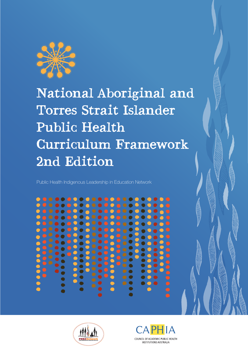

# National Aboriginal and Torres Strait Islander Public Health Curriculum Framework 2nd Edition

Public Health Indigenous Leadership in Education Network





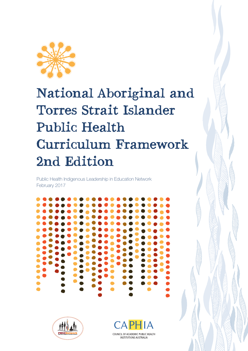

# National Aboriginal and Torres Strait Islander Public Health Curriculum Framework 2nd Edition

Public Health Indigenous Leadership in Education Network February 2017





APH  $\overline{\mathsf{H}}$   $\mathsf{A}$ COUNCIL OF ACADEMIC PUBLIC HEALTH INSTITUTIONS AUSTRALIA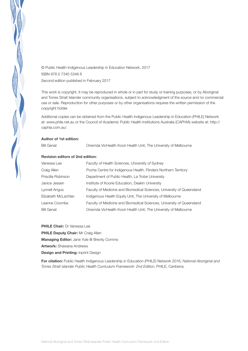

© Public Health Indigenous Leadership in Education Network, 2017 ISBN 978 0 7340 5346 6 Second edition published in February 2017

This work is copyright. It may be reproduced in whole or in part for study or training purposes, or by Aboriginal and Torres Strait Islander community organisations, subject to acknowledgment of the source and no commercial use or sale. Reproduction for other purposes or by other organisations requires the written permission of the copyright holder.

Additional copies can be obtained from the Public Health Indigenous Leadership in Education (PHILE) Network at: www.phile.net.au or the Council of Academic Public Health Institutions Australia (CAPHIA) website at: http:// caphia.com.au/.

#### Author of 1st edition:

Bill Genat Onemda VicHealth Koori Health Unit, The University of Melbourne

#### Revision editors of 2nd edition:

| Vanessa Lee         | Faculty of Health Sciences, University of Sydney                      |
|---------------------|-----------------------------------------------------------------------|
| Craig Allen         | Poche Centre for Indigenous Health, Flinders Northern Territory       |
| Priscilla Robinson  | Department of Public Health, La Trobe University                      |
| Janice Jessen       | Institute of Koorie Education, Deakin University                      |
| Lynnell Angus       | Faculty of Medicine and Biomedical Sciences, University of Queensland |
| Elizabeth McLachlan | Indigenous Health Equity Unit, The University of Melbourne            |
| Leanne Coombe       | Faculty of Medicine and Biomedical Sciences, University of Queensland |
| <b>Bill Genat</b>   | Onemda VicHealth Koori Health Unit, The University of Melbourne       |

**PHILE Chair:** Dr Vanessa Lee PHILE Deputy Chair: Mr Craig Allen **Managing Editor:** Jane Yule @ Brevity Comms Artwork: Shawana Andrews

**Design and Printing: [Inprint Design](www.inprint.com.au)** 

For citation: Public Health Indigenous Leadership in Education (PHILE) Network 2016, *National Aboriginal and Torres Strait islander Public Health Curriculum Framework: 2nd Edition*, PHILE, Canberra.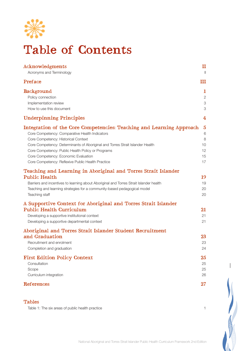

## Table of Contents

| Acknowledgments<br>Acronyms and Terminology                                                                                                                                                                                                                                                                                                                                                      |                                                   |
|--------------------------------------------------------------------------------------------------------------------------------------------------------------------------------------------------------------------------------------------------------------------------------------------------------------------------------------------------------------------------------------------------|---------------------------------------------------|
| Preface                                                                                                                                                                                                                                                                                                                                                                                          | Ш                                                 |
| Background<br>Policy connection<br>Implementation review<br>How to use this document                                                                                                                                                                                                                                                                                                             | 1<br>$\mathbf{2}$<br>3<br>3                       |
| <b>Underpinning Principles</b>                                                                                                                                                                                                                                                                                                                                                                   | $\overline{\mathbf{4}}$                           |
| Integration of the Core Competencies: Teaching and Learning Approach<br>Core Competency: Comparative Health Indicators<br>Core Competency: Historical Context<br>Core Competency: Determinants of Aboriginal and Torres Strait Islander Health<br>Core Competency: Public Health Policy or Programs<br>Core Competency: Economic Evaluation<br>Core Competency: Reflexive Public Health Practice | $5\overline{5}$<br>6<br>8<br>10<br>12<br>15<br>17 |
| Teaching and Learning in Aboriginal and Torres Strait Islander<br><b>Public Health</b><br>Barriers and incentives to learning about Aboriginal and Torres Strait Islander health<br>Teaching and learning strategies for a community-based pedagogical model<br>Teaching staff                                                                                                                   | 19<br>19<br>20<br>20                              |
| A Supportive Context for Aboriginal and Torres Strait Islander<br>Public Health Curriculum<br>Developing a supportive institutional context<br>Developing a supportive departmental context                                                                                                                                                                                                      | 21<br>21<br>21                                    |
| Aboriginal and Torres Strait Islander Student Recruitment<br>and Graduation<br>Recruitment and enrolment<br>Completion and graduation                                                                                                                                                                                                                                                            | 23<br>23<br>24                                    |
| <b>First Edition Policy Context</b><br>Consultation<br>Scope<br>Curriculum integration                                                                                                                                                                                                                                                                                                           | 25<br>25<br>25<br>26                              |
| References                                                                                                                                                                                                                                                                                                                                                                                       | 27                                                |

### Tables

[Table 1: The six areas of public health practice](#page-8-0) 1 and 1 and 1 and 1 and 1 and 1 and 1 and 1 and 1 and 1 and 1 and 1 and 1 and 1 and 1 and 1 and 1 and 1 and 1 and 1 and 1 and 1 and 1 and 1 and 1 and 1 and 1 and 1 and 1 and

I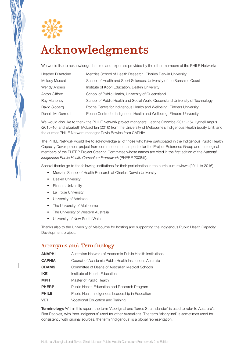<span id="page-5-0"></span>

## Acknowledgments

We would like to acknowledge the time and expertise provided by the other members of the PHILE Network:

| Heather D'Antoine     | Menzies School of Health Research, Charles Darwin University                 |
|-----------------------|------------------------------------------------------------------------------|
| Melody Muscat         | School of Health and Sport Sciences, University of the Sunshine Coast        |
| <b>Wendy Anders</b>   | Institute of Koori Education, Deakin University                              |
| <b>Anton Clifford</b> | School of Public Health, University of Queensland                            |
| Ray Mahoney           | School of Public Health and Social Work, Queensland University of Technology |
| David Sjoberg         | Poche Centre for Indigenous Health and Wellbeing, Flinders University        |
| Dennis McDermott      | Poche Centre for Indigenous Health and Wellbeing, Flinders University        |

We would also like to thank the PHILE Network project managers: Leanne Coombe (2011–15), Lynnell Angus (2015–16) and Elizabeth McLachlan (2016) from the University of Melbourne's Indigenous Health Equity Unit, and the current PHILE Network manager Devin Bowles from CAPHIA.

The PHILE Network would like to acknowledge all of those who have participated in the Indigenous Public Health Capacity Development project from commencement, in particular the Project Reference Group and the original members of the PHERP Project Steering Committee whose names are cited in the first edition of the *National Indigenous Public Health Curriculum Framework* (PHERP 2008:iii).

Special thanks go to the following institutions for their participation in the curriculum reviews (2011 to 2016):

- Menzies School of Health Research at Charles Darwin University
- Deakin University
- **Flinders University**
- La Trobe University
- University of Adelaide

II

- The University of Melbourne
- The University of Western Australia
- University of New South Wales.

Thanks also to the University of Melbourne for hosting and supporting the Indigenous Public Health Capacity Development project.

## Acronyms and Terminology

| <b>ANAPHI</b> | Australian Network of Academic Public Health Institutions |
|---------------|-----------------------------------------------------------|
| <b>CAPHIA</b> | Council of Academic Public Health Institutions Australia  |
| <b>CDAMS</b>  | Committee of Deans of Australian Medical Schools          |
| <b>IKE</b>    | Institute of Koorie Education                             |
| <b>MPH</b>    | Master of Public Health                                   |
| <b>PHERP</b>  | Public Health Education and Research Program              |
| <b>PHILE</b>  | Public Health Indigenous Leadership in Education          |
| <b>VET</b>    | Vocational Education and Training                         |

**Terminology:** Within this report, the term 'Aboriginal and Torres Strait Islander' is used to refer to Australia's First Peoples, with 'non-Indigenous' used for other Australians. The term 'Aboriginal' is sometimes used for consistency with original sources, the term 'indigenous' is a global representation.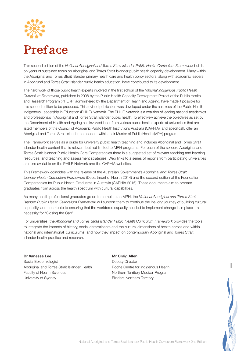<span id="page-6-0"></span>

This second edition of the *National Aboriginal and Torres Strait Islander Public Health Curriculum Framework* builds on years of sustained focus on Aboriginal and Torres Strait Islander public health capacity development. Many within the Aboriginal and Torres Strait Islander primary health care and health policy sectors, along with academic leaders in Aboriginal and Torres Strait Islander public health education, have contributed to its development.

The hard work of those public health experts involved in the first edition of the *National Indigenous Public Health Curriculum Framework*, published in 2008 by the Public Health Capacity Development Project of the Public Health and Research Program (PHERP) administered by the Department of Health and Ageing, have made it possible for this second edition to be produced. This revised publication was developed under the auspices of the Public Health Indigenous Leadership in Education (PHILE) Network. The PHILE Network is a coalition of leading national academics and professionals in Aboriginal and Torres Strait Islander public health. To effectively achieve the objectives as set by the Department of Health and Ageing has involved input from various public health experts at universities that are listed members of the Council of Academic Public Health Institutions Australia (CAPHIA), and specifically offer an Aboriginal and Torres Strait Islander component within their Master of Public Health (MPH) program.

The Framework serves as a guide for university public health teaching and includes Aboriginal and Torres Strait Islander health content that is relevant but not limited to MPH programs. For each of the six core Aboriginal and Torres Strait Islander Public Health Core Competencies there is a suggested set of relevant teaching and learning resources, and teaching and assessment strategies. Web links to a series of reports from participating universities are also available on the PHILE Network and the CAPHIA websites.

This Framework coincides with the release of the Australian Government's *Aboriginal and Torres Strait Islander Health Curriculum Framework* (Department of Health 2014) and the second edition of the Foundation Competencies for Public Health Graduates in Australia (CAPHIA 2016). These documents aim to prepare graduates from across the health spectrum with cultural capabilities.

As many health professional graduates go on to complete an MPH, the *National Aboriginal and Torres Strait Islander Public Health Curriculum Framework* will support them to continue the life-long journey of building cultural capability, and contribute to ensuring that the workforce capacity needed to implement change is in place – a necessity for 'Closing the Gap'.

For universities, the *Aboriginal and Torres Strait Islander Public Health Curriculum Framework* provides the tools to integrate the impacts of history, social determinants and the cultural dimensions of health across and within national and international curriculums, and how they impact on contemporary Aboriginal and Torres Strait Islander health practice and research.

Dr Vanessa Lee Social Epidemiologist Aboriginal and Torres Strait Islander Health Faculty of Health Sciences University of Sydney

Mr Craig Allen Deputy Director Poche Centre for Indigenous Health Northern Territory Medical Program Flinders Northern Territory



III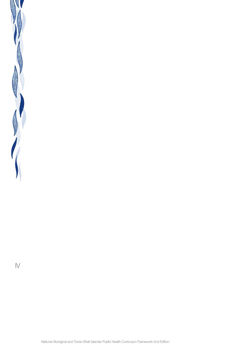

IV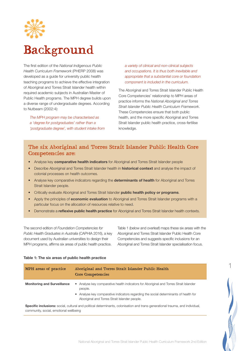<span id="page-8-0"></span>

## Background

The first edition of the *National Indigenous Public Health Curriculum Framework* (PHERP 2008) was developed as a guide for university public health teaching programs to achieve the effective integration of Aboriginal and Torres Strait Islander health within required academic subjects in Australian Master of Public Health programs. The MPH degree builds upon a diverse range of undergraduate degrees. According to Nutbeam (2002:4):

*The MPH program may be characterised as a 'degree for postgraduates' rather than a 'postgraduate degree', with student intake from*  *a variety of clinical and non-clinical subjects and occupations. It is thus both inevitable and appropriate that a substantial core or foundation component is included in the curriculum.*

The Aboriginal and Torres Strait Islander Public Health Core Competencies' relationship to MPH areas of practice informs the *National Aboriginal and Torres Strait Islander Public Health Curriculum Framework*. These Competencies ensure that both public health, and the more specific Aboriginal and Torres Strait Islander public health practice, cross-fertilise knowledge.

## The six Aboriginal and Torres Strait Islander Public Health Core Competencies are:

- Analyse key comparative health indicators for Aboriginal and Torres Strait Islander people
- Describe Aboriginal and Torres Strait Islander health in **historical context** and analyse the impact of colonial processes on health outcomes.
- Analyse key comparative indicators regarding the determinants of health for Aboriginal and Torres Strait Islander people.
- Critically evaluate Aboriginal and Torres Strait Islander public health policy or programs.
- Apply the principles of **economic evaluation** to Aboriginal and Torres Strait Islander programs with a particular focus on the allocation of resources relative to need.
- Demonstrate a reflexive public health practice for Aboriginal and Torres Strait Islander health contexts.

The second edition of *Foundation Competencies for Public Health Graduates in Australia* (CAPHIA 2016), a key document used by Australian universities to design their MPH programs, affirms six areas of public health practice.

Table 1 (below and overleaf) maps these six areas with the Aboriginal and Torres Strait Islander Public Health Core Competencies and suggests specific inclusions for an Aboriginal and Torres Strait Islander specialisation focus.

#### Table 1: The six areas of public health practice

| MPH areas of practice                  | Aboriginal and Torres Strait Islander Public Health<br>Core Competencies                                                              |
|----------------------------------------|---------------------------------------------------------------------------------------------------------------------------------------|
| <b>Monitoring and Surveillance</b>     | • Analyse key comparative health indicators for Aboriginal and Torres Strait Islander<br>people.                                      |
|                                        | • Analyse key comparative indicators regarding the social determinants of health for<br>Aboriginal and Torres Strait Islander people. |
| community, social, emotional wellbeing | <b>Specific inclusions:</b> social, cultural and political determinants, colonisation and trans-generational trauma, and individual,  |

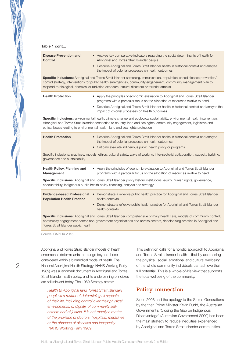#### <span id="page-9-0"></span>Table 1 cont...

| <b>Disease Prevention and</b><br>Control                                | • Analyse key comparative indicators regarding the social determinants of health for<br>Aboriginal and Torres Strait Islander people.<br>• Describe Aboriginal and Torres Strait Islander health in historical context and analyse                                                                                                             |
|-------------------------------------------------------------------------|------------------------------------------------------------------------------------------------------------------------------------------------------------------------------------------------------------------------------------------------------------------------------------------------------------------------------------------------|
|                                                                         | the impact of colonial processes on health outcomes.                                                                                                                                                                                                                                                                                           |
|                                                                         | Specific inclusions: Aboriginal and Torres Strait Islander screening, immunisation, population-based disease prevention/<br>control strategy, interventions for public health emergencies, community engagement, community management plan to<br>respond to biological, chemical or radiation exposure, natural disasters or terrorist attacks |
| <b>Health Protection</b>                                                | • Apply the principles of economic evaluation to Aboriginal and Torres Strait Islander<br>programs with a particular focus on the allocation of resources relative to need.<br>• Describe Aboriginal and Torres Strait Islander health in historical context and analyse the<br>impact of colonial processes on health outcomes.               |
|                                                                         | Specific inclusions: environmental health, climate change and ecological sustainability, environmental health intervention,<br>Aboriginal and Torres Strait Islander connection to country, land and sea rights, community engagement, legislative and<br>ethical issues relating to environmental health, land and sea rights protection      |
| <b>Health Promotion</b>                                                 | • Describe Aboriginal and Torres Strait Islander health in historical context and analyse<br>the impact of colonial processes on health outcomes.                                                                                                                                                                                              |
| $\bullet$                                                               | Critically evaluate Indigenous public health policy or programs.                                                                                                                                                                                                                                                                               |
| governance and sustainability                                           | Specific inclusions: practices, models, ethics, cultural safety, ways of working, inter-sectorial collaboration, capacity building,                                                                                                                                                                                                            |
| <b>Health Policy, Planning and</b><br>Management                        | • Apply the principles of economic evaluation to Aboriginal and Torres Strait Islander<br>programs with a particular focus on the allocation of resources relative to need.                                                                                                                                                                    |
|                                                                         | Specific inclusions: Aboriginal and Torres Strait Islander policy history, institutions, equity, human rights, governance,<br>accountability, Indigenous public health policy financing, analysis and strategy                                                                                                                                 |
| <b>Evidence-based Professional</b><br><b>Population Health Practice</b> | • Demonstrate a reflexive public health practice for Aboriginal and Torres Strait Islander<br>health contexts.                                                                                                                                                                                                                                 |
| $\bullet$                                                               | Demonstrate a reflexive public health practice for Aboriginal and Torres Strait Islander<br>health contexts.                                                                                                                                                                                                                                   |
|                                                                         | Specific inclusions: Aboriginal and Torres Strait Islander comprehensive primary health care, models of community control,<br>community engagement across non-government organisations and across sectors, decolonising practice in Aboriginal and                                                                                             |

Source: CAPHIA 2016

Torres Strait Islander public health

Aboriginal and Torres Strait Islander models of health encompass determinants that range beyond those considered within a biomedical model of health. The National Aboriginal Health Strategy (NAHS Working Party 1989) was a landmark document in Aboriginal and Torres Strait Islander health policy, and its underpinning principles are still relevant today. The 1989 Strategy states:

*Health to Aboriginal [and Torres Strait Islander] people is a matter of determining all aspects of their life, including control over their physical environments, of dignity, of community selfesteem and of justice. It is not merely a matter of the provision of doctors, hospitals, medicines or the absence of diseases and incapacity.*  (NAHS Working Party 1989)

This definition calls for a holistic approach to Aboriginal and Torres Strait Islander health – that by addressing the physical, social, emotional and cultural wellbeing of the whole community individuals can achieve their full potential. This is a whole-of-life view that supports the total wellbeing of the community.

### Policy connection

Since 2008 and the apology to the Stolen Generations by the then Prime Minister Kevin Rudd, the Australian Government's 'Closing the Gap on Indigenous Disadvantage' (Australian Government 2009) has been the main strategy to reduce inequities experienced by Aboriginal and Torres Strait Islander communities.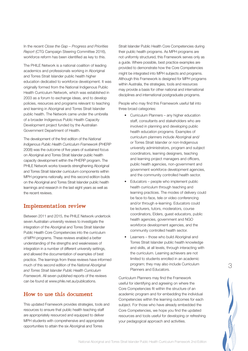<span id="page-10-0"></span>In the recent *Close the Gap – Progress and Priorities Report* (CTG Campaign Steering Committee 2016), workforce reform has been identified as key to this.

The PHILE Network is a national coalition of leading academics and professionals working in Aboriginal and Torres Strait Islander public health higher education dedicated to workforce development. It was originally formed from the National Indigenous Public Health Curriculum Network, which was established in 2003 as a forum to exchange ideas, and to develop policies, resources and programs relevant to teaching and learning in Aboriginal and Torres Strait Islander public health. The Network came under the umbrella of a broader Indigenous Public Health Capacity Development project funded by the Australian Government Department of Health.

The development of the first edition of the *National Indigenous Public Health Curriculum Framework* (PHERP 2008) was the outcome of five years of sustained focus on Aboriginal and Torres Strait Islander public health capacity development within the PHERP program. The PHILE Network works towards strengthening Aboriginal and Torres Strait Islander curriculum components within MPH programs nationally, and this second edition builds on the Aboriginal and Torres Strait Islander public health learnings and research in the last eight years as well as the recent reviews.

## Implementation review

Between 2011 and 2015, the PHILE Network undertook seven Australian university reviews to investigate the integration of the Aboriginal and Torres Strait Islander Public Health Core Competencies into the curriculum of MPH programs. These reviews enabled a better understanding of the strengths and weaknesses of integration in a number of different university settings, and allowed the documentation of examples of best practice. The learnings from these reviews have informed much of this second edition of the *National Aboriginal and Torres Strait Islander Public Health Curriculum Framework*. All seven published reports of the reviews can be found at www.phile.net.au/publications.

## How to use this document

This updated Framework provides strategies, tools and resources to ensure that public health teaching staff are appropriately resourced and equipped to deliver MPH students with comprehensive and appropriate opportunities to attain the six Aboriginal and Torres

Strait Islander Public Health Core Competencies during their public health programs. As MPH programs are not uniformly structured, this Framework serves only as a guide. Where possible, best practice examples are provided to demonstrate how the Core Competencies might be integrated into MPH subjects and programs. Although this Framework is designed for MPH programs within Australia, the strategies, tools and resources may provide a basis for other national and international disciplines and international postgraduate programs.

People who may find this Framework useful fall into three broad categories:

- Curriculum Planners any higher education staff, consultants and stakeholders who are involved in planning and developing public health education programs. Examples of curriculum planners include Aboriginal and/ or Torres Strait Islander or non-Indigenous university administrators, program and subject coordinators, learning designers, teaching and learning project managers and officers, public health agencies, non-government and government workforce development agencies, and the community controlled health sector.
- Educators people who implement public health curriculum through teaching and learning practices. The modes of delivery could be face-to-face, tele or video conferencing and/or through e-learning. Educators could be lecturers, tutors, moderators, course coordinators, Elders, guest educators, public health agencies, government and NGO workforce development agencies, and the community controlled health sector.
- Learners those who build Aboriginal and Torres Strait Islander public health knowledge and skills, at all levels, through interacting with the curriculum. Learning achievers are not limited to students enrolled in an academic program; they may also include Curriculum Planners and Educators.

Curriculum Planners may find the Framework useful for identifying and agreeing on where the Core Competencies fit within the structure of an academic program and for embedding the individual Competencies within the learning outcomes for each subject. For those who have already embedded the Core Competencies, we hope you find the updated resources and tools useful for developing or refreshing your pedagogical approach and activities.

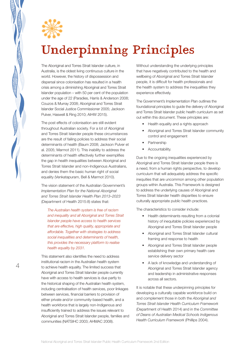<span id="page-11-0"></span>

# Underpinning Principles

The Aboriginal and Torres Strait Islander culture, in Australia, is the oldest living continuous culture in the world. However, the history of dispossession and dispersal since colonisation has resulted in a health crisis among a diminishing Aboriginal and Torres Strait Islander population – with 50 per cent of the population under the age of 22 (Paradies, Harris & Anderson 2008; Couzos & Murray 2008; Aboriginal and Torres Strait Islander Social Justice Commissioner 2005; Jackson Pulver, Haswell & Ring 2010; AIHW 2015).

The post effects of colonisation are still evident throughout Australian society. For a lot of Aboriginal and Torres Strait Islander people these circumstances are the result of failing policies to address their social determinants of health (Baum 2008; Jackson Pulver et al. 2005; Marmot 2011). This inability to address the determinants of health effectively further exemplifies the gap in health inequalities between Aboriginal and Torres Strait Islander and non-Indigenous Australians, and denies them the basic human right of social equality (Venkatapuram, Bell & Marmot 2010).

The vision statement of the Australian Government's *Implementation Plan for the National Aboriginal and Torres Strait Islander Health Plan 2013–2023* (Department of Health 2015:8) states that:

*The Australian health system is free of racism and inequality and all Aboriginal and Torres Strait Islander people have access to health services that are effective, high quality, appropriate and affordable. Together with strategies to address social inequalities and determinants of health, this provides the necessary platform to realise health equality by 2031.*

This statement also identifies the need to address institutional racism in the Australian health system to achieve health equality. The limited success that Aboriginal and Torres Strait Islander people currently have with access to health services is due partly to the historical shaping of the Australian health system, including centralisation of health services, poor linkages between services, financial barriers to provision of either private and/or community-based health, and a health workforce that is largely non-Indigenous and insufficiently trained to address the issues relevant to Aboriginal and Torres Strait Islander people, families and communities (NATSIHC 2003; AHMAC 2008).

Without understanding the underlying principles that have negatively contributed to the health and wellbeing of Aboriginal and Torres Strait Islander people, it is difficult for health professionals and the health system to address the inequalities they experience effectively.

The Government's Implementation Plan outlines the foundational principles to guide the delivery of Aboriginal and Torres Strait Islander public health curriculum as set out within this document. These principles are:

- Health equality and a rights approach
- Aboriginal and Torres Strait Islander community control and engagement
- Partnership
- Accountability.

Due to the ongoing inequalities experienced by Aboriginal and Torres Strait Islander people there is a need, from a human rights perspective, to develop curriculum that will adequately address the specific inequities that are uncommon among other population groups within Australia. This Framework is designed to address the underlying causes of Aboriginal and Torres Strait Islander health disparities to ensure culturally appropriate public health practices.

The characteristics to consider include:

- Health determinants resulting from a colonial history of inequitable policies experienced by Aboriginal and Torres Strait Islander people
- Aboriginal and Torres Strait Islander cultural framing and response to health
- Aboriginal and Torres Strait Islander people establishing their own primary health care service delivery sector
- A lack of knowledge and understanding of Aboriginal and Torres Strait Islander agency and leadership in administrative responses across all sectors.

It is notable that these underpinning principles for developing a culturally capable workforce build on and complement those in both the *Aboriginal and Torres Strait Islander Health Curriculum Framework* (Department of Health 2014) and in the *Committee of Deans of Australian Medical Schools Indigenous Health Curriculum Framework* (Phillips 2004).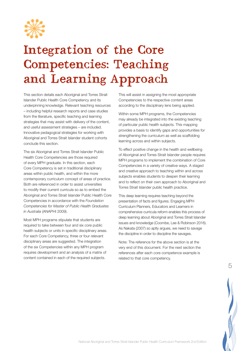<span id="page-12-0"></span>

# Integration of the Core Competencies: Teaching and Learning Approach

This section details each Aboriginal and Torres Strait Islander Public Health Core Competency and its underpinning knowledge. Relevant teaching resources – including helpful research reports and case studies from the literature, specific teaching and learning strategies that may assist with delivery of the content, and useful assessment strategies – are included. Innovative pedagogical strategies for working with Aboriginal and Torres Strait Islander student cohorts conclude this section.

The six Aboriginal and Torres Strait Islander Public Health Core Competencies are those required of every MPH graduate. In this section, each Core Competency is set in traditional disciplinary areas within public health, and within the more contemporary curriculum concept of areas of practice. Both are referenced in order to assist universities to modify their current curricula so as to embed the Aboriginal and Torres Strait Islander Public Health Core Competencies in accordance with the *Foundation Competencies for Master of Public Health Graduates in Australia* (ANAPHI 2009).

Most MPH programs stipulate that students are required to take between four and six core public health subjects or units in specific disciplinary areas. For each Core Competency, three or four relevant disciplinary areas are suggested. The integration of the six Competencies within any MPH program requires development and an analysis of a matrix of content contained in each of the required subjects.

This will assist in assigning the most appropriate Competencies to the respective content areas according to the disciplinary lens being applied.

Within some MPH programs, the Competencies may already be integrated into the existing teaching of particular public health subjects. This mapping provides a basis to identify gaps and opportunities for strengthening the curriculum as well as scaffolding learning across and within subjects.

To effect positive change in the health and wellbeing of Aboriginal and Torres Strait Islander people requires MPH programs to implement the combination of Core Competencies in a variety of creative ways. A staged and creative approach to teaching within and across subjects enables students to deepen their learning and to reflect on their own approach to Aboriginal and Torres Strait Islander public health practice.

This deep learning requires teaching beyond the presentation of facts and figures. Engaging MPH Curriculum Planners, Educators and Learners in comprehensive curricula reform enables this process of deep learning about Aboriginal and Torres Strait Islander issues and knowledge (Coombe, Lee & Robinson 2016). As Nakata (2007) so aptly argues, we need to savage the discipline in order to discipline the savages.

Note: The reference for the above section is at the very end of this document. For the next section the references after each core competence example is related to that core competency.

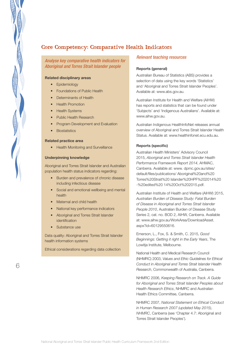## <span id="page-13-0"></span>Core Competency: Comparative Health Indicators

#### *Analyse key comparative health indicators for Aboriginal and Torres Strait Islander people*

#### Related disciplinary areas

- Epidemiology
- Foundations of Public Health
- Determinants of Health
- Health Promotion
- Health Systems
- Public Health Research
- Program Development and Evaluation
- Biostatistics

#### Related practice area

• Health Monitoring and Surveillance

#### Underpinning knowledge

Aboriginal and Torres Strait Islander and Australian population health status indicators regarding:

- Burden and prevalence of chronic disease including infectious disease
- Social and emotional wellbeing and mental health
- Maternal and child health
- National key performance indicators
- Aboriginal and Torres Strait Islander identification
- Substance use

Data quality: Aboriginal and Torres Strait Islander health information systems

Ethical considerations regarding data collection

#### *Relevant teaching resources*

#### Reports (general)

Australian Bureau of Statistics (ABS) provides a selection of data using the key words 'Statistics' and 'Aboriginal and Torres Strait Islander Peoples'. Available at: www.abs.gov.au.

Australian Institute for Health and Welfare (AIHW) has reports and statistics that can be found under 'Subjects' and 'Indigenous Australians'. Available at: www.aihw.gov.au.

Australian Indigenous HealthInfoNet releases annual overview of Aboriginal and Torres Strait Islander Health Status. Available at: www.healthinfonet.ecu.edu.au.

#### Reports (specific)

Australian Health Ministers' Advisory Council 2015, *Aboriginal and Torres Strait Islander Health Performance Framework Report 2014*, AHMAC, Canberra. Available at: www. dpmc.gov.au/sites/ default/files/publications/ Aboriginal%20and%20 [Torres%20Strait%20 Islander%20HPF%202014%20](www.dpmc.gov.au/sites/default/files/publications/Aboriginal%20and%20Torres%20Strait%20Islander%20HPF%202014%20-%20edited%2014%20Oct%202015.pdf) -%20edited%20 14%20Oct%202015.pdf.

Australian Institute of Health and Welfare (AIHW) 2015, *Australian Burden of Disease Study: Fatal Burden of Disease in Aboriginal and Torres Strait Islander People 2010*, Australian Burden of Disease Study Series 2, cat. no. BOD 2, AIHW, Canberra. Available [at: www.aihw.gov.au/WorkArea/DownloadAsset.](www.aihw.gov.au/WorkArea/DownloadAsset.aspx?id=60129550616) aspx?id=60129550616.

Emerson, L., Fox, S. & Smith, C. 2015, *Good Beginnings: Getting it right in the Early Years*, The Lowitja Institute, Melbourne.

National Health and Medical Research Council (NHMRC) 2003, *Values and Ethic Guidelines for Ethical Conduct in Aboriginal and Torres Strait Islander Health Research*, Commonwealth of Australia, Canberra.

NHMRC 2006, *Keeping Research on Track. A Guide for Aboriginal and Torres Strait Islander Peoples about Health Research Ethics*, NHMRC and Australian Health Ethics Committee, Canberra.

NHMRC 2007, *National Statement on Ethical Conduct in Human Research 2007 (updated May 2015)*, *NHMRC*, Canberra (see 'Chapter 4.7: Aboriginal and Torres Strait Islander Peoples').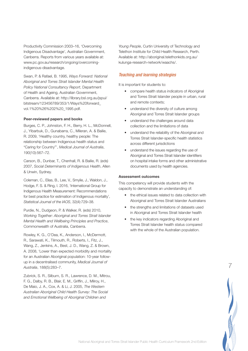Productivity Commission 2003–16, 'Overcoming Indigenous Disadvantage', Australian Government, Canberra. Reports from various years available at: [www.pc.gov.au/research/ongoing/overcoming](www.pc.gov.au/research/ongoing/overcoming-indigenous-disadvantage)indigenous-disadvantage.

Swan, P. & Rafael, B. 1995, *Ways Forward: National Aboriginal and Torres Strait Islander Mental Health Policy National Consultancy Report*, Department of Health and Ageing, Australian Government, [Canberra. Available at: http://library.bsl.org.au/jspui/](http://library.bsl.org.au/jspui/bitstream/123456789/353/1/Ways%20forward_vol.1%20%26%202%20_1995.pdf) bitstream/123456789/353/1/Ways%20forward\_ vol.1%20%26%202%20\_1995.pdf.

#### Peer-reviewed papers and books

Burges, C. P., Johnston, F. H., Berry, H. L., McDonnell, J., Yibarbuk, D., Gunabarra, C., Mileran, A. & Bailie, R. 2009, 'Healthy country, healthy people: The relationship between Indigenous health status and "Caring for Country"', *Medical Journal of Australia*, 190(10):567–72.

Carson, B., Dunbar, T., Chenhall, R. & Bailie, R. (eds) 2007, *Social Determinants of Indigenous Health*, Allen & Unwin, Sydney.

Coleman, C., Elias, B., Lee, V., Smylie, J., Waldon, J., Hodge, F. S. & Ring, I. 2016, 'International Group for Indigenous Health Measurement: Recommendations for best practice for estimation of Indigenous mortality', *Statistical Journal of the IAOS*, 32(4):729–38.

Purdie, N., Dudgeon, P. & Walker, R. (eds) 2010, *Working Together: Aboriginal and Torres Strait Islander Mental Health and Wellbeing Principles and Practice*, Commonwealth of Australia, Canberra.

Rowley, K. G., O'Dea, K., Anderson, I., McDermott, R., Sarawati, K., Tilmouth, R., Roberts, I., Fitz, J., Wang, Z., Jenkins, A., Best, J. D., Wang, Z. & Brown, A. 2008, 'Lower than expected morbidity and mortality for an Australian Aboriginal population: 10-year followup in a decentralised community, *Medical Journal of Australia*, 188(5):283–7.

Zubrick, S. R., Silburn, S. R., Lawrence, D. M., Mitrou, F. G., Dalby, R. B., Blair, E. M., Griffin, J., Milroy, H., De Maio, J. A., Cox, A. & Li, J. 2005, *The Western Australian Aboriginal Child Health Survey: The Social and Emotional Wellbeing of Aboriginal Children and* 

*Young People*, Curtin University of Technology and Telethon Institute for Child Health Research, Perth. [Available at: http://aboriginal.telethonkids.org.au/](http://aboriginal.telethonkids.org.au/kulunga-research-network/waachs/) kulunga-research-network/waachs/.

#### *Teaching and learning strategies*

It is important for students to:

- compare health status indicators of Aboriginal and Torres Strait Islander people in urban, rural and remote contexts;
- understand the diversity of culture among Aboriginal and Torres Strait Islander groups
- understand the challenges around data collection and the limitations of data
- understand the reliability of the Aboriginal and Torres Strait Islander-specific health statistics across different jurisdictions
- understand the issues regarding the use of Aboriginal and Torres Strait Islander identifiers on hospital intake forms and other administrative documents used by health agencies.

#### Assessment outcomes

This competency will provide students with the capacity to demonstrate an understanding of:

- the ethical issues related to data collection with Aboriginal and Torres Strait Islander Australians
- the strengths and limitations of datasets used in Aboriginal and Torres Strait Islander health
- the key indicators regarding Aboriginal and Torres Strait Islander health status compared with the whole of the Australian population.

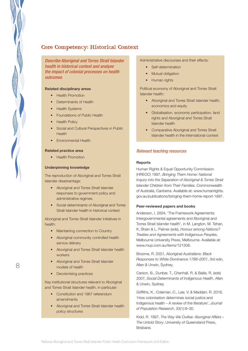## <span id="page-15-0"></span>Core Competency: Historical Context

*Describe Aboriginal and Torres Strait Islander health in historical context and analyse the impact of colonial processes on health outcomes*

#### Related disciplinary areas

- Health Promotion
- Determinants of Health
- Health Systems
- Foundations of Public Health
- Health Policy
- Social and Cultural Perspectives in Public **Health**
- Environmental Health

#### Related practice area

• Health Promotion

#### Underpinning knowledge

The reproduction of Aboriginal and Torres Strait Islander disadvantage:

- Aboriginal and Torres Strait Islander responses to government policy and administrative regimes
- Social determinants of Aboriginal and Torres Strait Islander health in historical context

Aboriginal and Torres Strait Islander initiatives in health:

- Maintaining connection to Country
- Aboriginal community controlled health service delivery
- Aboriginal and Torres Strait Islander health workers
- Aboriginal and Torres Strait Islander models of health
- Decolonising practices

Key institutional structures relevant to Aboriginal and Torres Strait Islander health, in particular:

- Constitution and 1967 referendum amendments
- Aboriginal and Torres Strait Islander health policy structures

Administrative discourses and their effects:

- Self-determination
- Mutual obligation
- Human rights

Political economy of Aboriginal and Torres Strait Islander health:

- Aboriginal and Torres Strait Islander health, economics and equity
- Globalisation, economic participation, land rights and Aboriginal and Torres Strait Islander health
- Comparative Aboriginal and Torres Strait Islander health in the international context

#### *Relevant teaching resources*

#### **Reports**

Human Rights & Equal Opportunity Commission (HREOC) 1997, *Bringing Them Home: National Inquiry into the Separation of Aboriginal & Torres Strait Islander Children from Their Families*, Commonwealth [of Australia, Canberra. Available at: www.humanrights.](www.humanrights.gov.au/publications/bringing-them-home-report-1997) gov.au/publications/bringing-them-home-report-1997.

#### Peer-reviewed papers and books

Anderson, I. 2004, 'The Framework Agreements: Intergovernmental agreements and Aboriginal and Torres Strait Islander health', in M. Langton, M. Tehan, K. Shain & L. Palmer (eds), *Honour among Nations? Treaties and Agreements with Indigenous Peoples*, Melbourne University Press, Melbourne. Available at: www.mup.com.au/items/121308.

Broome, R. 2001, *Aboriginal Australians: Black Responses to White Dominance 1788–2001*, 3rd edn, Allen & Unwin, Sydney.

Carson, B., Dunbar, T., Chenhall, R. & Bailie, R. (eds) 2007, *Social Determinants of Indigenous Health*, Allen & Unwin, Sydney.

Griffiths, K., Coleman, C., Lee, V. & Madden, R. 2016, 'How colonisation determines social justice and Indigenous health – A review of the literature', *Journal of Population Research*, 33(1):9–30.

Kidd, R. 1997, *The Way We Civilise: Aboriginal Affairs – The Untold Story*, University of Queensland Press, Brisbane.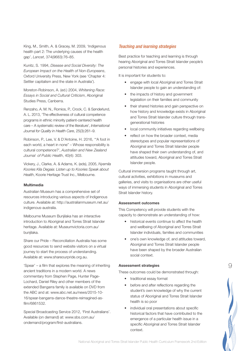King, M., Smith, A. & Gracey, M. 2009, 'Indigenous health part 2: The underlying causes of the health gap', *Lancet*, 374(9683):76–85.

Kunitz, S. 1994, *Disease and Social Diversity: The European Impact on the Health of Non-Europeans*, Oxford University Press, New York (see 'Chapter 4: Settler capitalism and the state in Australia').

Moreton-Robinson, A. (ed.) 2004, *Whitening Race: Essays in Social and Cultural Criticism*, Aboriginal Studies Press, Canberra.

Renzaho, A. M. N., Romios, P., Crock, C. & Sønderlund, A. L. 2013, 'The effectiveness of cultural competence programs in ethnic minority patient-centered health care – A systematic review of the literature', *International Journal for Quality in Health Care*, 25(3):261–9.

Robinson, P., Lee, V. & D'Antoine, H. 2016, '"A foot in each world, a heart in none" – Whose responsibility is cultural competence?', *Australian and New Zealand Journal of Public Health*, 40(4): 303.

Vickery, J., Clarke, A. & Adams, K. (eds), 2005, *Nyernila Koories Kila Degaia: Listen up to Koories Speak about Health*, Koorie Heritage Trust Inc., Melbourne.

#### Multimedia

Australian Museum has a comprehensive set of resources introducing various aspects of Indigenous [culture. Available at: http://australianmuseum.net.au/](http://australianmuseum.net.au/indigenous-australia) indigenous-australia.

Melbourne Museum Bunjilaka has an interactive introduction to Aboriginal and Torres Strait Islander [heritage. Available at: Museumvictoria.com.au/](www.Museumvictoria.com.au/bunjilaka) bunjilaka.

Share our Pride – Reconciliation Australia has some good resources to send website visitors on a virtual journey to start the process of understanding. Available at: www.shareourpride.org.au.

'Spear' – a film that explores the meaning of inheriting ancient traditions in a modern world. A news commentary from Stephen Page, Hunter Page-Lochard, Daniel Riley and other members of the extended Bangarra family is available on DVD from the ABC and at: www.abc.net.au/news/2015-10- [16/spear-bangarra-dance-theatre-reimagined-as](www.abc.net.au/news/2015-10-16/spear-bangarra-dance-theatre-reimagined-as-film/6861532)film/6861532.

Special Broadcasting Service 2012, 'First Australians'. [Available \(on demand\) at: www.sbs.com.au/](www.sbs.com.au/ondemand/program/first-australians) ondemand/program/first-australians.

#### *Teaching and learning strategies*

Best practice for teaching and learning is through hearing Aboriginal and Torres Strait Islander people's personal histories and experiences.

It is important for students to:

- engage with local Aboriginal and Torres Strait Islander people to gain an understanding of:
- the impacts of history and government legislation on their families and community
- their shared histories and gain perspective on how history and knowledge exists in Aboriginal and Torres Strait Islander culture through transgenerational histories
- local community initiatives regarding wellbeing
- reflect on how the broader context, media stereotypes and popular representations of Aboriginal and Torres Strait Islander people have shaped their own understanding of, and attitudes toward, Aboriginal and Torres Strait Islander people.

Cultural immersion programs taught through art, cultural activities, exhibitions in museums and galleries, and visits to organisations are other useful ways of immersing students in Aboriginal and Torres Strait Islander history.

#### Assessment outcomes

This Competency will provide students with the capacity to demonstrate an understanding of how:

- historical events continue to affect the health and wellbeing of Aboriginal and Torres Strait Islander individuals, families and communities
- one's own knowledge of, and attitudes toward, Aboriginal and Torres Strait Islander people have been shaped by the broader Australian social context.

#### Assessment strategies

These outcomes could be demonstrated through:

- traditional essay format
- before and after reflections regarding the student's own knowledge of why the current status of Aboriginal and Torres Strait Islander health is so poor
- individual oral presentations about specific historical factors that have contributed to the emergence of a particular health issue in a specific Aboriginal and Torres Strait Islander context.



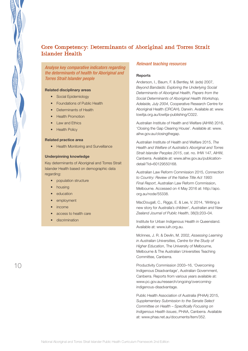<span id="page-17-0"></span>

*Analyse key comparative indicators regarding the determinants of health for Aboriginal and Torres Strait Islander people*

#### Related disciplinary areas

- Social Epidemiology
- Foundations of Public Health
- Determinants of Health
- Health Promotion
- Law and Ethics
- Health Policy

#### Related practice area

• Health Monitoring and Surveillance

#### Underpinning knowledge

Key determinants of Aboriginal and Torres Strait Islander Health based on demographic data regarding:

- population structure
- housing
- education
- employment
- income
- access to health care
- discrimination

## $1<sub>0</sub>$

#### *Relevant teaching resources*

#### **Reports**

Anderson, I., Baum, F. & Bentley, M. (eds) 2007, *Beyond Bandaids: Exploring the Underlying Social Determinants of Aboriginal Health, Papers from the Social Determinants of Aboriginal Health Workshop, Adelaide, July 2004*, Cooperative Research Centre for [Aboriginal Health \(CRCAH\), Darwin. Available at: www.](www.lowitja.org.au/lowitja-publishing/C022) lowitja.org.au/lowitja-publishing/C022.

Australian Institute of Health and Welfare (AIHW) 2016, ['Closing the Gap Clearing House'. Available at: www.](www.aihw.gov.au/closingthegap) aihw.gov.au/closingthegap.

Australian Institute of Health and Welfare 2015, *The Health and Welfare of Australia's Aboriginal and Torres Strait Islander Peoples 2015*, cat. no. IHW 147, AIHW, [Canberra. Available at: www.aihw.gov.au/publication](www.aihw.gov.au/publication-detail/?id=60129550168)detail/?id=60129550168.

Australian Law Reform Commission 2015, *Connection to Country: Review of the Native Title Act 1993: Final Report*, Australian Law Reform Commission, [Melbourne. Accessed on 4 May 2016 at: http://apo.](http://apo.org.au/node/55338) org.au/node/55338.

MacDougall, C., Riggs, E. & Lee, V. 2014, 'Writing a new story for Australia's children', *Australian and New Zealand Journal of Public Health*, 38(3):203–04.

Institute for Urban Indigenous Health in Queensland. Available at: www.iuih.org.au.

McInnes, J. R. & Devlin, M. 2002, *Assessing Learning in Australian Universities, Centre for the Study of Higher Education*, The University of Melbourne, Melbourne & The Australian Universities Teaching Committee, Canberra.

Productivity Commission 2003–16, 'Overcoming Indigenous Disadvantage', Australian Government, Canberra. Reports from various years available at: [www.pc.gov.au/research/ongoing/overcoming](www.pc.gov.au/research/ongoing/overcoming-indigenous-disadvantage)indigenous-disadvantage.

Public Health Association of Australia (PHAA) 2015, *Supplementary Submission to the Senate Select Committee on Health – Specifically Focusing on Indigenous Health Issues*, PHAA, Canberra. Available at[: www.phaa.net.au/documents/item/352.](www.phaa.net.au/documents/item/352)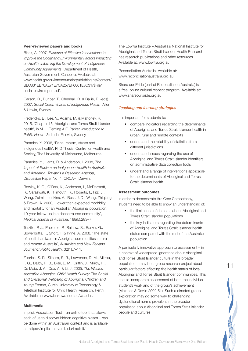#### Peer-reviewed papers and books

Black, A. 2007, *Evidence of Effective Interventions to Improve the Social and Environmental Factors Impacting on Health: Informing the Development of Indigenous Community Agreements*, Department of Health, Australian Government, Canberra. Available at: [www.health.gov.au/internet/main/publishing.nsf/content/](www.health.gov.au/internet/main/publishing.nsf/content/BEC831EE70AE71E7CA257BF0001E8C31/$File/social-enviro-report.pdf) BEC831EE70AE71E7CA257BF0001E8C31/\$File/ social-enviro-report.pdf.

Carson, B., Dunbar, T., Chenhall, R. & Bailie, R. (eds) 2007, *Social Determinants of Indigenous Health*, Allen & Unwin, Sydney.

Fredericks, B., Lee, V., Adams, M. & Mahoney, R. 2015, 'Chapter 15: Aboriginal and Torres Strait Islander health', in M. L. Fleming & E. Parker, *Introduction to Public Health*, 3rd edn, Elsevier, Sydney.

Paradies, Y. 2006, 'Race, racism, stress and Indigenous health', PhD Thesis, Centre for Health and Society, The University of Melbourne, Melbourne.

Paradies, Y., Harris, R. & Anderson, I. 2008, *The Impact of Racism on Indigenous Health in Australia and Aotearoa: Towards a Research Agenda*, Discussion Paper No. 4, CRCAH, Darwin.

Rowley, K. G., O'Dea, K., Anderson, I., McDermott, R., Saraswati, K., Tilmouth, R., Roberts, I., Fitz, J., Wang, Zaimin, Jenkins, A., Best, J. D., Wang, Zhiqiang & Brown, A. 2008, 'Lower than expected morbidity and mortality for an Australian Aboriginal population: 10-year follow-up in a decentralised community', *Medical Journal of Australia*, 188(5):283–7.

Torzillo, P. J., Pholeros, P., Rainow, S., Barker, G., Sowerbutts, T., Short, T. & Irvine, A. 2008, 'The state of health hardware in Aboriginal communities in rural and remote Australia', *Australian and New Zealand Journal of Public Health*, 32(1):7–11.

Zubrick, S. R., Silburn, S. R., Lawrence, D. M., Mitrou, F. G., Dalby, R. B., Blair, E. M., Griffin, J., Milroy, H., De Maio, J. A., Cox, A. & Li, J. 2005, *The Western Australian Aboriginal Child Health Survey: The Social and Emotional Wellbeing of Aboriginal Children and Young People*, Curtin University of Technology & Telethon Institute for Child Health Research, Perth. Available at: www.ichr.uwa.edu.au/waachs.

#### Multimedia

Implicit Association Test – an online tool that allows each of us to discover hidden cognitive biases – can be done within an Australian context and is available at: https://implicit.harvard.edu/implicit/

The Lowitja Institute – Australia's National Institute for Aboriginal and Torres Strait Islander Health Research has research publications and other resources. Available at: www.lowitja.org.au.

Reconciliation Australia. Available at: www.reconciliationaustralia.org.au.

Share our Pride (part of Reconciliation Australia) is a free, online cultural respect program. Available at: www.shareourpride.org.au.

#### *Teaching and learning strategies*

It is important for students to:

- compare indicators regarding the determinants of Aboriginal and Torres Strait Islander health in urban, rural and remote contexts
- understand the reliability of statistics from different jurisdictions
- understand issues regarding the use of Aboriginal and Torres Strait Islander identifiers on administrative data collection tools
- understand a range of interventions applicable to the determinants of Aboriginal and Torres Strait Islander health.

#### Assessment outcomes

In order to demonstrate this Core Competency, students need to be able to show an understanding of:

- the limitations of datasets about Aboriginal and Torres Strait Islander populations
- the key indicators regarding the determinants of Aboriginal and Torres Strait Islander health status compared with the rest of the Australian population.

A particularly innovative approach to assessment – in a context of widespread ignorance about Aboriginal and Torres Strait Islander culture in the broader population – may be a group research project about particular factors affecting the health status of local Aboriginal and Torres Strait Islander communities. This should incorporate assessment of both the individual student's work and of the group's achievement (McInnes & Devlin 2002:51). Such a directed group exploration may go some way to challenging dysfunctional norms prevalent in the broader population about Aboriginal and Torres Strait Islander people and cultures.

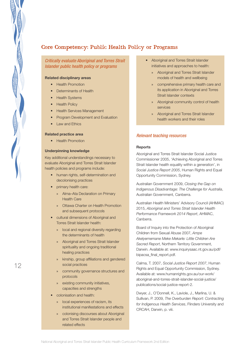## <span id="page-19-0"></span>Core Competency: Public Health Policy or Programs

*Critically evaluate Aboriginal and Torres Strait Islander public health policy or programs*

#### Related disciplinary areas

- Health Promotion
- Determinants of Health
- Health Systems
- Health Policy
- Health Services Management
- Program Development and Evaluation
- **Law and Ethics**

#### Related practice area

• Health Promotion

#### Underpinning knowledge

Key additional understandings necessary to evaluate Aboriginal and Torres Strait Islander health policies and programs include:

- human rights, self-determination and decolonising practices
- primary health care:
	- » Alma–Ata Declaration on Primary Health Care
	- » Ottawa Charter on Health Promotion and subsequent protocols
- cultural dimensions of Aboriginal and Torres Strait Islander health:
	- » local and regional diversity regarding the determinants of health
	- » Aboriginal and Torres Strait Islander spirituality and ongoing traditional healing practices
	- » kinship, group affiliations and gendered social practices
	- » community governance structures and protocols
	- » existing community initiatives, capacities and strengths
- colonisation and health:
	- » local experiences of racism, its institutional manifestations and effects
	- » colonising discourses about Aboriginal and Torres Strait Islander people and related effects
- Aboriginal and Torres Strait Islander initiatives and approaches to health:
	- » Aboriginal and Torres Strait Islander models of health and wellbeing
	- » comprehensive primary health care and its application in Aboriginal and Torres Strait Islander contexts
	- » Aboriginal community control of health services
	- » Aboriginal and Torres Strait Islander health workers and their roles

#### *Relevant teaching resources*

#### **Reports**

Aboriginal and Torres Strait Islander Social Justice Commissioner 2005, 'Achieving Aboriginal and Torres Strait Islander health equality within a generation', in *Social Justice Report 2005*, Human Rights and Equal Opportunity Commission, Sydney.

Australian Government 2009, *Closing the Gap on Indigenous Disadvantage: The Challenge for Australia*, Australian Government, Canberra.

Australian Health Ministers' Advisory Council (AHMAC) 2015, *Aboriginal and Torres Strait Islander Health Performance Framework 2014 Report*, AHMAC, Canberra.

Board of Inquiry into the Protection of Aboriginal Children from Sexual Abuse 2007, *Ampe Akelyernemane Meke Mekarle: Little Children Are Sacred Report*, Northern Territory Government, [Darwin. Available at: www.inquirysaac.nt.gov.au/pdf/](www.inquirysaac.nt.gov.au/pdf/bipacsa_final_report.pdf) bipacsa\_final\_report.pdf.

Calma, T. 2007, *Social Justice Report 2007*, Human Rights and Equal Opportunity Commission, Sydney. Available at: www.humanrights.gov.au/our-work/ [aboriginal-and-torres-strait-islander-social-justice/](www.humanrights.gov.au/our-work/aboriginal-and-torres-strait-islander-social-justice/publications/social-justice-report-2) publications/social-justice-report-2.

Dwyer, J., O'Donnell, K., Laviole, J., Marlina, U. & Sullivan, P. 2009, *The Overburden Report: Contracting for Indigenous Health Services*, Flinders University and CRCAH, Darwin, p. viii.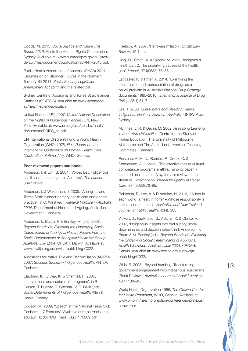Gooda, M. 2015, *Social Justice and Native Title Report 2015*, Australian Human Rights Commission, Sydney. Available at: www.humanrights.gov.au/sites/ [default/files/document/publication/SJRNTR2015.pdf.](www.humanrights.gov.au/sites/default/files/document/publication/SJRNTR2015.pdf)

Public Health Association of Australia (PHAA) 2011, 'Submission on Stronger Futures in the Northern Territory Bill 2011, *Social Security Legislation Amendment Act 2011* and the related bill.

Sydney Centre of Aboriginal and Torres Strait Islander [Statistics \(SCATSIS\). Available at: www.sydney.edu.](www.sydney.edu.au/health-sciences/scatsis) au/health-sciences/scatsis.

United Nations (UN) 2007, *United Nations Declaration on the Rights of Indigenous Peoples*, UN, New [York. Available at: www.un.org/esa/socdev/unpfii/](www.un.org/esa/socdev/unpfii/documents/DRIPS_en.pdf) documents/DRIPS\_en.pdf.

UN International Children's Fund & World Health Organization (WHO) 1978, *Final Report on the International Conference on Primary Health Care (Declaration of Alma-Ata)*, WHO, Geneva.

#### Peer-reviewed papers and books

Anderson, I. & Loff, B. 2004, 'Voices lost: Indigenous health and human rights in Australia', *The Lancet*, 364:1281–2.

Anderson, I. & Wakerman, J. 2005, 'Aboriginal and Torres Strait Islander primary health care and general practice', in C. West (ed.), *General Practice in Australia 2004*, Department of Health and Ageing, Australian Government, Canberra.

Anderson, I., Baum, F. & Bentley, M. (eds) 2007, *Beyond Bandaids: Exploring the Underlying Social Determinants of Aboriginal Health, Papers from the Social Determinants of Aboriginal Health Workshop, Adelaide, July 2004*, CRCAH, Darwin. Available at: www.lowitja.org.au/lowitja-publishing/C022.

Australians for Native Title and Reconciliation (ANTaR) 2007, *Success Stories in Indigenous Health*, ANTaR, Canberra.

Clapham, K., O'Dea, K. & Chenhall, R. 2007, 'Interventions and sustainable programs', in B. Carson, T. Dunbar, R. Chenhall, & R. Bailie (eds), *Social Determinants of Indigenous Health*, Allen & Unwin, Sydney.

Dodson, M. 2009, 'Speech at the National Press Club, [Canberra, 17 February'. Available at https://ncis.anu.](https://ncis.anu.edu.au/_lib/doc/MD_Press_Club_170209.pdf) edu.au/\_lib/doc/MD\_Press\_Club\_170209.pdf.

Haebich, A. 2007, 'Retro-assimilation', *Griffith Law Review*, 15:1-11.

King, M., Smith, A. & Gracey, M. 2009, 'Indigenous health part 2: The underlying causes of the health gap', *Lancet*, 374(9683):76–85.

Lancaster, K. & Ritter, A. 2014, 'Examining the construction and representation of drugs as a policy problem in Australia's National Drug Strategy documents 1985–2010', *International Journal of Drug Policy*, 25(1):81–7.

Lea, T. 2008, *Bureaucrats and Bleeding Hearts: Indigenous Health in Northern Australia*, UNSW Press, Sydney.

McInnes, J. R. & Devlin, M. 2002, *Assessing Learning in Australian Universities*, Centre for the Study of Higher Education, The University of Melbourne, Melbourne and The Australian Universities Teaching Committee, Canberra.

Renzaho, A. M. N., Romios, P., Crock, C. & Sønderlund, A. L. 2009, 'The effectiveness of cultural competence programs in ethnic minority patientcentered health care – A systematic review of the literature', *International Journal for Quality in Health Care*, 374(9683):76–85.

Robinson, P., Lee, V. & D'Antoine, H. 2016, '"A foot in each world, a heart in none" – Whose responsibility is cultural competence?', *Australian and New Zealand Journal of Public Health*, 40(4): 303.

Vickery, J., Faulkhead, S., Adams, K. & Clarke, A. 2007, 'Indigenous insights into oral history, social determinants and decolonisation', in I. Anderson, F. Baum & M. Bentley (eds), *Beyond Bandaids: Exploring the Underlying Social Determinants of Aboriginal Health Workshop, Adelaide, July 2004*, CRCAH, [Darwin. Available at: www.lowitja.org.au/lowitja](www.lowitja.org.au/lowitja-publishing/C022)publishing/C022.

Willis, E. 2008, 'Beyond humbug: Transforming government engagement with Indigenous Australians [Book Review]', *Australian Journal of Adult Learning*, 48(1):188–95.

World Health Organization 1986, *The Ottawa Charter for Health Promotion*, WHO, Geneva. Available at: [www.who.int/healthpromotion/conferences/previous/](www.who.int/healthpromotion/conferences/previous/ottawa/en/) ottawa/en/.

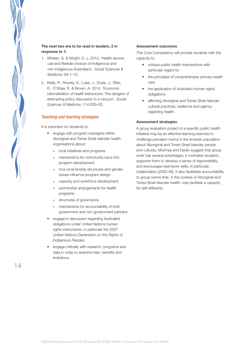

#### The next two are to be read in tandem, 2 in response to 1:

- 1. Whelan, S. & Wright, D. J. 2013, 'Health service use and lifestyle choices of Indigenous and non-Indigenous Australians', *Social Sciences & Medicine*, 84:1–12.
- 2. Reilly, R., Rowley, K., Luke, J., Doyle, J., Ritte, R., O'Shea, R. & Brown, A. 2014, 'Economic rationalisation of health behaviours: The dangers of attempting policy discussion in a vacuum', *Social Sciences & Medicine*, 114:200–03.

#### *Teaching and learning strategies*

It is important for students to:

- engage with program managers within Aboriginal and Torres Strait Islander health organisations about:
	- local initiatives and programs
	- » mechanisms for community input into program development
	- » how local kinship structures and gender issues influence program design
	- capacity and workforce development
	- » partnership arrangements for health programs
	- structures of governance
	- » mechanisms for accountability of both government and non-government partners
- engage in discussion regarding Australia's obligations under United Nations human rights instruments, in particular the 2007 *United Nations Declaration on the Rights of Indigenous Peoples*
- engage critically with research, programs and data in order to examine bias, benefits and limitations.

#### Assessment outcomes

This Core Competency will provide students with the capacity to:

- critique public health interventions with particular regard to:
- the principles of comprehensive primary health care
- the application of Australia's human rights obligations
- affirming Aboriginal and Torres Strait Islander cultural practices, resilience and agency regarding health.

#### Assessment strategies

A group evaluation project of a specific public health initiative may be an effective learning exercise to challenge prevalent norms in the broader population about Aboriginal and Torres Strait Islander people and cultures. McInnes and Devlin suggest that group work has several advantages: it motivates students, supports them to develop a sense of responsibility, and encourages teamwork skills, in particular, collaboration (2002:48). It also facilitates accountability to group norms that, in the context of Aboriginal and Torres Strait Islander health, may facilitate a capacity for self-reflexivity.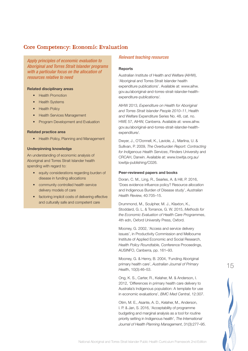### <span id="page-22-0"></span>Core Competency: Economic Evaluation

*Apply principles of economic evaluation to Aboriginal and Torres Strait Islander programs with a particular focus on the allocation of resources relative to need*

### Related disciplinary areas

- Health Promotion
- Health Systems
- Health Policy
- Health Services Management
- Program Development and Evaluation

#### Related practice area

• Health Policy, Planning and Management

#### Underpinning knowledge

An understanding of economic analysis of Aboriginal and Torres Strait Islander health spending with regard to:

- equity considerations regarding burden of disease in funding allocations
- community controlled health service delivery models of care
- factoring implicit costs of delivering effective and culturally safe and competent care

#### *Relevant teaching resources*

#### **Reports**

Australian Institute of Health and Welfare (AIHW), 'Aboriginal and Torres Strait Islander health expenditure publications'. Available at: www.aihw. [gov.au/aboriginal-and-torres-strait-islander-health](www.aihw.gov.au/aboriginal-and-torres-strait-islander-health-expenditure-publications/)expenditure-publications/.

AIHW 2013, *Expenditure on Health for Aboriginal and Torres Strait Islander People 2010–11*, Health and Welfare Expenditure Series No. 48, cat. no. [HWE 57, AIHW, Canberra. Available at: www.aihw.](www.aihw.gov.au/aboriginal-and-torres-strait-islander-health-expenditure/) gov.au/aboriginal-and-torres-strait-islander-healthexpenditure/.

Dwyer, J., O'Donnell, K., Laviole, J., Marlina, U. & Sullivan, P. 2009, *The Overburden Report: Contracting for Indigenous Health Services*, Flinders University and [CRCAH, Darwin. Available at: www.lowitja.org.au/](www.lowitja.org.au/lowitja-publishing/C026) lowitja-publishing/C026.

#### Peer-reviewed papers and books

Doran, C. M., Ling, R., Searles, A. & Hill, P. 2016, 'Does evidence influence policy? Resource allocation and Indigenous Burden of Disease study', *Australian Health Revie*w, 40:705–15.

Drummond, M., Sculpher, M. J., Klaxton, K., Stoddard, G. L. & Torrance, G. W. 2015, *Methods for the Economic Evaluation of Health Care Programmes*, 4th edn, Oxford University Press, Oxford.

Mooney, G. 2002, 'Access and service delivery issues', in Productivity Commission and Melbourne Institute of Applied Economic and Social Research, *Health Policy Roundtabl*e, Conference Proceedings, AUSINFO, Canberra, pp. 161–93.

Mooney, G. & Henry, B. 2004, 'Funding Aboriginal primary health care', *Australian Journal of Primary Healt*h, 10(3):46–53.

Ong, K. S., Carter, R., Kelaher, M. & Anderson, I. 2012, 'Differences in primary health care delivery to Australia's Indigenous population: A template for use in economic evaluations', *BMC Med Central*, 12:307.

Otim, M. E., Asante, A. D., Kelaher, M., Anderson, I. P. & Jan, S. 2016, 'Acceptability of programme budgeting and marginal analysis as a tool for routine priority setting in Indigenous health', *The International Journal of Health Planning Management*, 31(3):277–95.



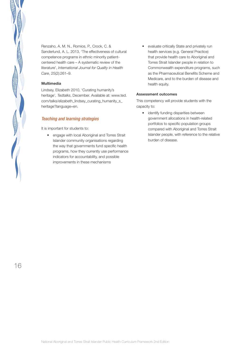

Renzaho, A. M. N., Romios, P., Crock, C. & Sønderlund, A. L. 2013, 'The effectiveness of cultural competence programs in ethnic minority patientcentered health care – A systematic review of the literature', *International Journal for Quality in Health Care*, 25(2):261–9.

#### Multimedia

Lindsey, Elizabeth 2010, 'Curating humanity's heritage', *Tedtalks*, December. Available at: www.ted. [com/talks/elizabeth\\_lindsey\\_curating\\_humanity\\_s\\_](www.ted.com/talks/elizabeth_lindsey_curating_humanity_s_heritage?language=en) heritage?language=en.

#### *Teaching and learning strategies*

It is important for students to:

• engage with local Aboriginal and Torres Strait Islander community organisations regarding the way that governments fund specific health programs, how they currently use performance indicators for accountability, and possible improvements in these mechanisms

• evaluate critically State and privately run health services (e.g. General Practice) that provide health care to Aboriginal and Torres Strait Islander people in relation to Commonwealth expenditure programs, such as the Pharmaceutical Benefits Scheme and Medicare, and to the burden of disease and health equity.

#### Assessment outcomes

This competency will provide students with the capacity to:

• identify funding disparities between government allocations in health-related portfolios to specific population groups compared with Aboriginal and Torres Strait Islander people, with reference to the relative burden of disease.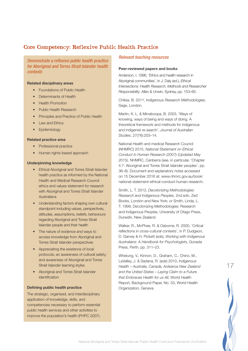## <span id="page-24-0"></span>Core Competency: Reflexive Public Health Practice

*Demonstrate a reflexive public health practice for Aboriginal and Torres Strait Islander health contexts*

#### Related disciplinary areas

- Foundations of Public Health
- Determinants of Health
- Health Promotion
- Public Health Research
- Principles and Practice of Public Health
- Law and Ethics
- Epidemiology

#### Related practice area

- Professional practice
- Human rights-based approach

#### Underpinning knowledge

- Ethical Aboriginal and Torres Strait Islander health practice as informed by the National Health and Medical Research Council ethics and values statement for research with Aboriginal and Torres Strait Islander Australians
- Understanding factors shaping own cultural standpoint including values, perspectives, attitudes, assumptions, beliefs, behaviours regarding Aboriginal and Torres Strait Islander people and their health
- The nature of evidence and ways to access knowledge from Aboriginal and Torres Strait Islander perspectives
- Appreciating the existence of local protocols; an awareness of cultural safety; and awareness of Aboriginal and Torres Strait Islander learning styles
- Aboriginal and Torres Strait Islander identification

#### Defining public health practice

The strategic, organised, and interdisciplinary application of knowledge, skills, and competencies necessary to perform essential public health services and other activities to improve the population's health (PHPC 2007).

#### *Relevant teaching resources*

#### Peer-reviewed papers and books

Anderson, I. 1996, 'Ethics and health research in Aboriginal communities', in J. Daly (ed.), *Ethical Intersections: Health Research, Methods and Researcher Responsibility*, Allen & Unwin, Sydney, pp. 153–65.

Chilisa, B. 2011, *Indigenous Research Methodologies*, Sage, London.

Martin, K. L. & Mirraboopa, B. 2003, 'Ways of knowing, ways of being and ways of doing. A theoretical framework and methods for indigenous and indigenist re-search', *Journal of Australian Studies*, 27(76):203–14.

National Health and medical Research Council (NHMRC) 2015, *National Statement on Ethical Conduct in Human Research (2007) (Updated May 2015)*, NHMRC, Canberra (see, in particular, 'Chapter 4.7: Aboriginal and Torres Strait Islander peoples', pp. 36–8). Document and explanatory notes accessed [on 15 December 2016 at: www.nhmrc.gov.au/book/](www.nhmrc.gov.au/book/national-statement-ethical-conduct-human-research) national-statement-ethical-conduct-human-research.

Smith, L. T. 2012, *Decolonizing Methodologies: Research and Indigenous Peoples*, 2nd edn, Zed Books, London and New York; or Smith, Linda, L. T. 1999, Decolonizing Methodologies: Research and Indigenous Peoples, University of Otago Press, Dunedin, New Zealand.

Walker, R., McPhee, R. & Osborne, R. 2000, 'Critical reflections in cross-cultural contexts', in P. Dudgeon, D. Garvey & H. Pickett (eds), *Working with Indigenous Australians: A Handbook for Psychologist*s, Gunada Press, Perth, pp. 311–23.

Whetung, V., Kinnon, D., Graham, C., Chino, M., LaValley, J. & Sadana, R. (eds) 2010, *Indigenous Health – Australia, Canada, Aotearoa New Zealand and the United States – Laying Claim to a Future that Embraces Health for us All*, World Health Report, Background Paper, No. 33, World Health Organization, Geneva.

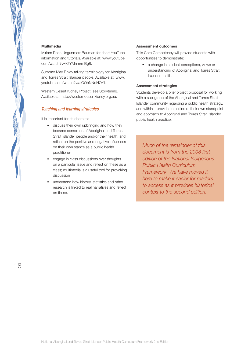#### Multimedia

Miriam Rose Ungunmerr-Bauman for short YouTube [information and tutorials. Available at: www.youtube.](www.youtube.com/watch?v=k2YMnmrmBg8) com/watch?v=k2YMnmrmBg8.

Summer May Finlay talking terminology for Aboriginal [and Torres Strait Islander people. Available at: www.](www.youtube.com/watch?v=zOOhNNdHOYl) youtube.com/watch?v=zOOhNNdHOYl.

Western Desert Kidney Project, see Storytelling. Available at[: http://westerndesertkidney.org.au](http://westerndesertkidney.org.au).

#### *Teaching and learning strategies*

It is important for students to:

- discuss their own upbringing and how they became conscious of Aboriginal and Torres Strait Islander people and/or their health, and reflect on the positive and negative influences on their own stance as a public health practitioner
- engage in class discussions over thoughts on a particular issue and reflect on these as a class; multimedia is a useful tool for provoking discussion
- understand how history, statistics and other research is linked to real narratives and reflect on these.

#### Assessment outcomes

This Core Competency will provide students with opportunities to demonstrate:

• a change in student perceptions, views or understanding of Aboriginal and Torres Strait Islander health.

#### Assessment strategies

Students develop a brief project proposal for working with a sub-group of the Aboriginal and Torres Strait Islander community regarding a public health strategy, and within it provide an outline of their own standpoint and approach to Aboriginal and Torres Strait Islander public health practice.

*Much of the remainder of this document is from the 2008 first edition of the National Indigenous Public Health Curriculum Framework. We have moved it here to make it easier for readers to access as it provides historical context to the second edition.*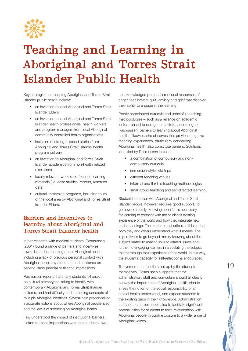<span id="page-26-0"></span>

## Teaching and Learning in Aboriginal and Torres Strait Islander Public Health

Key strategies for teaching Aboriginal and Torres Strait Islander public health include:

- an invitation to local Aboriginal and Torres Strait Islander Elders
- an invitation to local Aboriginal and Torres Strait Islander health professionals, health workers and program managers from local Aboriginal community controlled health organisations
- inclusion of strength-based stories from Aboriginal and Torres Strait Islander health program delivery
- an invitation to Aboriginal and Torres Strait Islander academics from non-health related disciplines
- locally relevant, workplace-focused learning materials (i.e. case studies, reports, research data)
- cultural immersion programs, including tours of the local area by Aboriginal and Torres Strait Islander Elders.

## Barriers and incentives to learning about Aboriginal and Torres Strait Islander health

In her research with medical students, Rasmussen (2001) found a range of barriers and incentives towards student learning about Aboriginal health, including a lack of previous personal contact with Aboriginal people by students, and a reliance on second-hand (media) or fleeting impressions.

Rasmussen reports that many students fell back on cultural stereotypes, failing to identify with contemporary Aboriginal and Torres Strait Islander cultures, and had difficulty understanding concepts of multiple Aboriginal identities. Several held preconceived, inaccurate notions about where Aboriginal people lived and the levels of spending on Aboriginal health.

Few understood the impact of institutional barriers. Linked to these impressions were the students' own unacknowledged personal emotional responses of anger, fear, hatred, guilt, anxiety and grief that disabled their ability to engage in the learning.

Poorly coordinated curricula and unhelpful teaching methodologies – such as a reliance on academic lecture-based teaching – constitute, according to Rasmussen, barriers to learning about Aboriginal health. Likewise, she observes that previous negative teaching experiences, particularly concerning Aboriginal health, also constitute barriers. Solutions identified by Rasmussen include:

- a combination of compulsory and noncompulsory curricula
- immersion-style field trips
- different teaching venues
- informal and flexible teaching methodologies
- small group teaching and self-directed learning.

Student interaction with Aboriginal and Torres Strait Islander people, however, requires good support. To go beyond merely 'knowing about', it is necessary for learning to connect with the student's existing experience of the world and how they integrate new understandings. The student must articulate this so that both they and others understand what it means. The imperative is to go beyond merely knowing about the subject matter to making links to related issues and, further, to engaging learners in articulating the subject matter through their experience of the world. In this way, the student's capacity for self-reflection is encouraged.

To overcome the barriers put up by the students themselves, Rasmussen suggests that the administration, staff and curriculum should all clearly convey the importance of Aboriginal health, should stress the notion of the social responsibility of an ethical health professional, and expose students to the existing gaps in their knowledge. Administration, staff and curriculum need also to facilitate significant opportunities for students to form relationships with Aboriginal people through exposure to a wide range of Aboriginal voices.



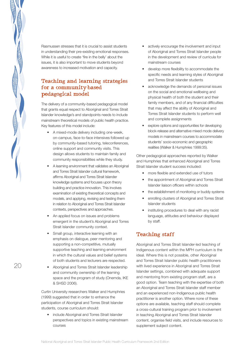<span id="page-27-0"></span>

 $20$ 

Rasmussen stresses that it is crucial to assist students in understanding their pre-existing emotional responses. While it is useful to create 'fire in the belly' about the issues, it is also important to move students beyond awareness to increased motivation and capacity.

## Teaching and learning strategies for a community-based pedagogical model

The delivery of a community-based pedagogical model that grants equal respect to Aboriginal and Torres Strait Islander knowledge's and standpoints needs to include mainstream theoretical models of public health practice. Key features of this model include:

- A mixed-mode delivery including one-week, on-campus, face-to-face intensives followed up by community-based tutoring, teleconferences, online support and community visits. This design allows students to maintain family and community responsibilities while they study.
- A learning environment that validates an Aboriginal and Torres Strait Islander cultural framework, affirms Aboriginal and Torres Strait Islander knowledge systems and focuses upon theory building and practice innovation. This involves examination of existing theoretical concepts and models, and applying, revising and testing them in relation to Aboriginal and Torres Strait Islander contexts, perspectives and approaches.
- An applied focus on issues and problems emergent in the student's Aboriginal and Torres Strait Islander community context.
- Small group, interactive learning with an emphasis on dialogue, peer mentoring and supporting a non-competitive, mutually supportive teaching and learning environment in which the cultural values and belief systems of both students and lecturers are respected.
- Aboriginal and Torres Strait Islander leadership and community ownership of the learning space and the program of study (Onemda, IKE & SHSD 2006).

Curtin University researchers Walker and Humphries (1999) suggested that in order to enhance the participation of Aboriginal and Torres Strait Islander students, course curriculum should:

• include Aboriginal and Torres Strait Islander perspectives and topics in existing mainstream courses

- actively encourage the involvement and input of Aboriginal and Torres Strait Islander people in the development and review of curricula for mainstream courses
- develop more flexibility to accommodate the specific needs and learning styles of Aboriginal and Torres Strait Islander students
- acknowledge the demands of personal issues on the social and emotional wellbeing and physical health of both the student and their family members, and of any financial difficulties that may affect the ability of Aboriginal and Torres Strait Islander students to perform well and complete assignments
- explore options and opportunities for developing block-release and alternative mixed mode delivery models in mainstream courses to accommodate students' socio-economic and geographic realities (Walker & Humphries 1999:35).

Other pedagogical approaches reported by Walker and Humphries that enhanced Aboriginal and Torres Strait Islander student success included:

- more flexible and extended use of tutors
- the appointment of Aboriginal and Torres Strait Islander liaison officers within schools
- the establishment of monitoring or buddy systems
- enrolling clusters of Aboriginal and Torres Strait Islander students
- instituting procedures to deal with any racist language, attitudes and behaviour displayed by staff.

## Teaching staff

Aboriginal and Torres Strait Islander-led teaching of Indigenous content within the MPH curriculum is the ideal. Where this is not possible, other Aboriginal and Torres Strait Islander public health practitioners with lived experience in Aboriginal and Torres Strait Islander settings, combined with adequate support and mentoring from existing program staff, are a good option. Team teaching with the expertise of both an Aboriginal and Torres Strait Islander staff member and an experienced non-Indigenous public health practitioner is another option. Where none of these options are available, teaching staff should complete a cross-cultural training program prior to involvement in teaching Aboriginal and Torres Strait Islander content, organise field visits, and include resources to supplement subject content.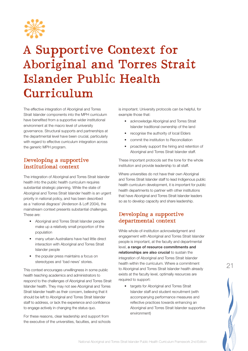<span id="page-28-0"></span>

## A Supportive Context for Aboriginal and Torres Strait Islander Public Health Curriculum

The effective integration of Aboriginal and Torres Strait Islander components into the MPH curriculum have benefited from a supportive wider institutional environment at the macro level of university governance. Structural supports and partnerships at the departmental level have been crucial, particularly with regard to effective curriculum integration across the generic MPH program.

## Developing a supportive institutional context

The integration of Aboriginal and Torres Strait Islander health into the public health curriculum requires substantial strategic planning. While the state of Aboriginal and Torres Strait Islander health is an urgent priority in national policy, and has been described as a 'national disgrace' (Anderson & Loff 2004), the mainstream context presents substantial challenges. These are:

- Aboriginal and Torres Strait Islander people make up a relatively small proportion of the population
- many urban Australians have had little direct interaction with Aboriginal and Torres Strait Islander people
- the popular press maintains a focus on stereotypes and 'bad news' stories.

This context encourages unwillingness in some public health teaching academics and administrators to respond to the challenges of Aboriginal and Torres Strait Islander health. They may not see Aboriginal and Torres Strait Islander health as their concern, believing that it should be left to Aboriginal and Torres Strait Islander staff to address, or lack the experience and confidence to engage actively in changing the status quo.

For these reasons, clear leadership and support from the executive of the universities, faculties, and schools is important. University protocols can be helpful, for example those that:

- acknowledge Aboriginal and Torres Strait Islander traditional ownership of the land
- recognise the authority of local Elders
- commit the institution to Reconciliation
- proactively support the hiring and retention of Aboriginal and Torres Strait Islander staff.

These important protocols set the tone for the whole institution and provide leadership to all staff.

Where universities do not have their own Aboriginal and Torres Strait Islander staff to lead Indigenous public health curriculum development, it is important for public health departments to partner with other institutions that have Aboriginal and Torres Strait Islander leaders so as to develop capacity and share leadership.

## Developing a supportive departmental context

While whole-of-institution acknowledgment and engagement with Aboriginal and Torres Strait Islander people is important, at the faculty and departmental level, a range of resource commitments and relationships are also crucial to sustain the integration of Aboriginal and Torres Strait Islander health within the curriculum. Where a commitment to Aboriginal and Torres Strait Islander health already exists at the faculty level, optimally resources are required to support:

• targets for Aboriginal and Torres Strait Islander staff and student recruitment (with accompanying performance measures and reflective practices towards enhancing an Aboriginal and Torres Strait Islander supportive environment)

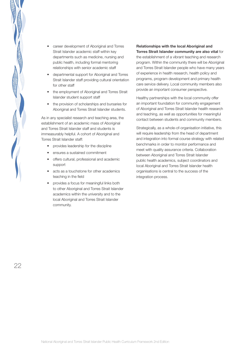

- career development of Aboriginal and Torres Strait Islander academic staff within key departments such as medicine, nursing and public health, including formal mentoring relationships with senior academic staff
- departmental support for Aboriginal and Torres Strait Islander staff providing cultural orientation for other staff
- the employment of Aboriginal and Torres Strait Islander student support staff
- the provision of scholarships and bursaries for Aboriginal and Torres Strait Islander students.

As in any specialist research and teaching area, the establishment of an academic mass of Aboriginal and Torres Strait Islander staff and students is immeasurably helpful. A cohort of Aboriginal and Torres Strait Islander staff:

- provides leadership for the discipline
- ensures a sustained commitment
- offers cultural, professional and academic support
- acts as a touchstone for other academics teaching in the field
- provides a focus for meaningful links both to other Aboriginal and Torres Strait Islander academics within the university and to the local Aboriginal and Torres Strait Islander community.

#### Relationships with the local Aboriginal and Torres Strait Islander community are also vital for

the establishment of a vibrant teaching and research program. Within the community there will be Aboriginal and Torres Strait Islander people who have many years of experience in health research, health policy and programs, program development and primary health care service delivery. Local community members also provide an important consumer perspective.

Healthy partnerships with the local community offer an important foundation for community engagement of Aboriginal and Torres Strait Islander health research and teaching, as well as opportunities for meaningful contact between students and community members.

Strategically, as a whole-of-organisation initiative, this will require leadership from the head of department and integration into formal course strategy with related benchmarks in order to monitor performance and meet with quality assurance criteria. Collaboration between Aboriginal and Torres Strait Islander public health academics, subject coordinators and local Aboriginal and Torres Strait Islander health organisations is central to the success of the integration process.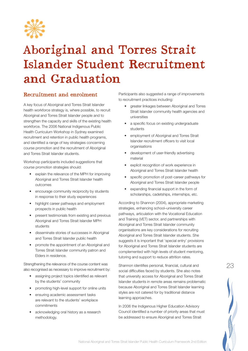<span id="page-30-0"></span>

## Aboriginal and Torres Strait Islander Student Recruitment and Graduation

## Recruitment and enrolment

A key focus of Aboriginal and Torres Strait Islander health workforce strategy is, where possible, to recruit Aboriginal and Torres Strait Islander people and to strengthen the capacity and skills of the existing health workforce. The 2006 National Indigenous Public Health Curriculum Workshop in Sydney examined recruitment and retention in public health programs, and identified a range of key strategies concerning course promotion and the recruitment of Aboriginal and Torres Strait Islander students.

Workshop participants included suggestions that course promotion strategies should:

- explain the relevance of the MPH for improving Aboriginal and Torres Strait Islander health outcomes
- encourage community reciprocity by students in response to their study experiences
- highlight career pathways and employment prospects in public health
- present testimonials from existing and previous Aboriginal and Torres Strait Islander MPH students
- disseminate stories of successes in Aboriginal and Torres Strait Islander public health
- promote the appointment of an Aboriginal and Torres Strait Islander community patron and Elders in residence.

Strengthening the relevance of the course content was also recognised as necessary to improve recruitment by:

- assigning project topics identified as relevant by the students' community
- promoting high-level support for online units
- ensuring academic assessment tasks are relevant to the students' workplace commitments
- acknowledging oral history as a research methodology.

Participants also suggested a range of improvements to recruitment practices including:

- greater linkages between Aboriginal and Torres Strait Islander community health agencies and universities
- a specific focus on existing undergraduate students
- employment of Aboriginal and Torres Strait Islander recruitment officers to visit local organisations
- development of user-friendly advertising material
- explicit recognition of work experience in Aboriginal and Torres Strait Islander health
- specific promotion of post-career pathways for Aboriginal and Torres Strait Islander people
- expanding financial support in the form of scholarships, cadetships, internships, etc.

According to Shannon (2004), appropriate marketing strategies, enhancing school–university career pathways, articulation with the Vocational Education and Training (VET) sector, and partnerships with Aboriginal and Torres Strait Islander community organisations are key considerations for recruiting Aboriginal and Torres Strait Islander students. She suggests it is important that 'special entry' provisions for Aboriginal and Torres Strait Islander students are complemented with high levels of student mentoring, tutoring and support to reduce attrition rates.

Shannon identifies personal, financial, cultural and social difficulties faced by students. She also notes that university access for Aboriginal and Torres Strait Islander students in remote areas remains problematic because Aboriginal and Torres Strait Islander learning styles are not catered for by traditional distance learning approaches.

In 2006 the Indigenous Higher Education Advisory Council identified a number of priority areas that must be addressed to ensure Aboriginal and Torres Strait

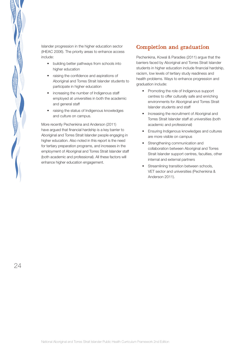<span id="page-31-0"></span>

Islander progression in the higher education sector (IHEAC 2006). The priority areas to enhance access include:

- building better pathways from schools into higher education
- raising the confidence and aspirations of Aboriginal and Torres Strait Islander students to participate in higher education
- increasing the number of Indigenous staff employed at universities in both the academic and general staff
- raising the status of Indigenous knowledges and culture on campus.

More recently Pechenkina and Anderson (2011) have argued that financial hardship is a key barrier to Aboriginal and Torres Strait Islander people engaging in higher education. Also noted in this report is the need for tertiary preparation programs, and increases in the employment of Aboriginal and Torres Strait Islander staff (both academic and professional). All these factors will enhance higher education engagement.

## Completion and graduation

Pechenkina, Kowal & Paradies (2011) argue that the barriers faced by Aboriginal and Torres Strait Islander students in higher education include financial hardship, racism, low levels of tertiary study readiness and health problems. Ways to enhance progression and graduation include:

- Promoting the role of Indigenous support centres to offer culturally safe and enriching environments for Aboriginal and Torres Strait Islander students and staff
- Increasing the recruitment of Aboriginal and Torres Strait Islander staff at universities (both academic and professional)
- Ensuring Indigenous knowledges and cultures are more visible on campus
- Strengthening communication and collaboration between Aboriginal and Torres Strait Islander support centres, faculties, other internal and external partners
- Streamlining transition between schools, VET sector and universities (Pechenkina & Anderson 2011).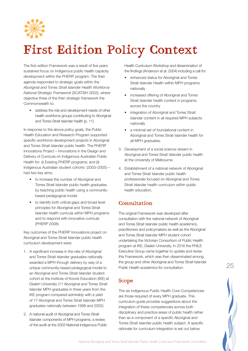<span id="page-32-0"></span>

# First Edition Policy Context

The first edition Framework was a result of five years sustained focus on Indigenous public health capacity development within the PHERP program. The then agenda responded to strategic goals within the *Aboriginal and Torres Strait Islander Health Workforce National Strategic Framework* (SCATSIH 2002), where objective three of the then strategic framework the Commonwealth to:

• address the role and development needs of other health workforce groups contributing to Aboriginal and Torres Strait Islander health (p. 11).

In response to the above policy goals, the Public Health Education and Research Program supported specific workforce development projects in Aboriginal and Torres Strait Islander public health. The PHERP Innovations Project – Innovations in the Design and Delivery of Curricula on Indigenous Australian Public Health for: (i) Existing PHERP programs; and (ii) Indigenous Australian student cohorts' (2003–2005) – had two key aims:

- to increase the number of Aboriginal and Torres Strait Islander public health graduates by teaching public health using a communitybased pedagogical model
- to identify both critical gaps and broad level principles for Aboriginal and Torres Strait Islander health curricula within MPH programs and to respond with innovative curricula (PHERP 2008).

Key outcomes of the PHERP Innovations project on Aboriginal and Torres Strait Islander public health curriculum development were:

- 1. A significant increase in the rate of Aboriginal and Torres Strait Islander graduates nationally awarded a MPH through delivery by way of a unique community-based pedagogical model to an Aboriginal and Torres Strait Islander student cohort at the Institute of Koorie Education (IKE) at Deakin University (11 Aboriginal and Torres Strait Islander MPH graduates in three years from the IKE program compared admirably with a yield of 17 Aboriginal and Torres Strait Islander MPH graduates nationally between 1998 and 2002).
- 2. A national audit of Aboriginal and Torres Strait Islander components of MPH programs, a review of the audit at the 2003 National Indigenous Public

Health Curriculum Workshop and dissemination of the findings (Anderson et al. 2004) including a call for:

- enhanced status for Aboriginal and Torres Strait Islander Health within MPH programs nationally
- increased offering of Aboriginal and Torres Strait Islander health content in programs across the country
- integration of Aboriginal and Torres Strait Islander content in all required MPH subjects nationally
- a minimal set of foundational content in Aboriginal and Torres Strait Islander health for all MPH graduates.
- 3. Development of a social science stream in Aboriginal and Torres Strait Islander public health at the University of Melbourne.
- 4. Establishment of a national network of Aboriginal and Torres Strait Islander public health professionals focused on Aboriginal and Torres Strait Islander health curriculum within public health education.

## Consultation

The original Framework was developed after consultation with the national network of Aboriginal and Torres Strait Islander public health academics, practitioners and policymakers as well as the Aboriginal and Torres Strait Islander MPH student cohort undertaking the Victorian Consortium of Public Health program at IKE, Deakin University. In 2016 the PHILE Executive Group came together to update and revise this Framework, which was then disseminated among the group and other Aboriginal and Torres Strait Islander Public Health academics for consultation.

## Scope

The six Indigenous Public Health Core Competencies are those required of every MPH graduate. This curriculum guide provides suggestions about the integration of these competencies across both disciplinary and practice areas of public health rather than as a component of a specific Aboriginal and Torres Strait Islander public health subject. A specific rationale for curriculum integration is set out below.



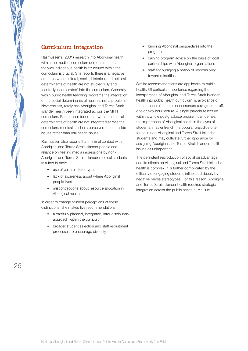<span id="page-33-0"></span>

## Curriculum integration

Rasmussen's (2001) research into Aboriginal health within the medical curriculum demonstrates that the way indigenous health is structured within the curriculum is crucial. She reports there is a negative outcome when cultural, social, historical and political determinants of health are not studied fully and 'centrally incorporated' into the curriculum. Generally, within public health teaching programs the integration of the social determinants of health is not a problem. Nevertheless, rarely has Aboriginal and Torres Strait Islander health been integrated across the MPH curriculum. Rasmussen found that where the social determinants of health are not integrated across the curriculum, medical students perceived them as side issues rather than real health issues.

Rasmussen also reports that minimal contact with Aboriginal and Torres Strait Islander people and reliance on fleeting media impressions by non-Aboriginal and Torres Strait Islander medical students resulted in their:

- use of cultural stereotypes
- lack of awareness about where Aboriginal people lived
- misconceptions about resource allocation in Aboriginal health.

In order to change student perceptions of these distinctions, she makes five recommendations:

- a carefully planned, integrated, inter-disciplinary approach within the curriculum
- broader student selection and staff recruitment processes to encourage diversity
- bringing Aboriginal perspectives into the program
- gaining program advice on the basis of local partnerships with Aboriginal organisations
- staff encouraging a notion of responsibility toward minorities.

Similar recommendations are applicable to public health. Of particular importance regarding the incorporation of Aboriginal and Torres Strait Islander health into public health curriculum, is avoidance of the 'parachute' lecture phenomenon: a single, one-off, one or two-hour lecture. A single parachute lecture within a whole postgraduate program can demean the importance of Aboriginal health in the eyes of students, may entrench the popular prejudice often found in non-Aboriginal and Torres Strait Islander students and may cultivate further ignorance by assigning Aboriginal and Torres Strait Islander health issues as unimportant.

The persistent reproduction of social disadvantage and its effects on Aboriginal and Torres Strait Islander health is complex. It is further complicated by the difficulty of engaging students influenced deeply by negative media stereotypes. For this reason, Aboriginal and Torres Strait Islander health requires strategic integration across the public health curriculum.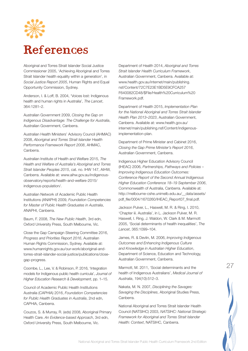<span id="page-34-0"></span>

## **References**

Aboriginal and Torres Strait Islander Social Justice Commissioner 2005, 'Achieving Aboriginal and Torres Strait Islander health equality within a generation', in *Social Justice Report 2005*, Human Rights and Equal Opportunity Commission, Sydney.

Anderson, I. & Loff, B. 2004, 'Voices lost: Indigenous health and human rights in Australia', *The Lancet*, 364:1281–2.

Australian Government 2009, *Closing the Gap on Indigenous Disadvantage: The Challenge for Australia*, Australian Government, Canberra.

Australian Health Ministers' Advisory Council (AHMAC) 2008, *Aboriginal and Torres Strait Islander Health Performance Framework Report 2008*, AHMAC, Canberra.

Australian Institute of Health and Welfare 2015, *The Health and Welfare of Australia's Aboriginal and Torres Strait Islander Peoples 2015*, cat. no. IHW 147, AIHW, [Canberra. Available at: www.aihw.gov.au/indigenous](www.aihw.gov.au/indigenous-observatory/reports/health-and-welfare-2015/indigenous-population/)observatory/reports/health-and-welfare-2015/ indigenous-population/.

Australian Network of Academic Public Health Institutions (ANAPHI) 2009, *Foundation Competencies for Master of Public Health Graduates in Australia*, ANAPHI, Canberra.

Baum, F. 2008, *The New Public Health*, 3rd edn, Oxford University Press, South Melbourne, Vic.

Close the Gap Campaign Steering Committee 2016, *Progress and Priorities Report 2016*, Australian Human Rights Commission, Sydney. Available at: www.humanrights.gov.au/our-work/aboriginal-and[torres-strait-islander-social-justice/publications/close](www.humanrights.gov.au/our-work/aboriginal-and-torres-strait-islander-social-justice/publications/close-gap-progress)gap-progress.

Coombe, L., Lee, V. & Robinson, P. 2016, 'Integration models for Indigenous public health curricula', *Journal of Higher Education Research & Development*, pp. 1–15.

Council of Academic Public Health Institutions Australia (CAPHIA) 2016, *Foundation Competencies for Public Health Graduates in Australia*, 2nd edn, CAPHIA, Canberra.

Couzos, S. & Murray, R. (eds) 2008, Aboriginal Primary Health Care. *An Evidence-based Approach*, 3rd edn, Oxford University Press, South Melbourne, Vic.

Department of Health 2014, *Aboriginal and Torres Strait Islander Health Curriculum Framework*, Australian Government, Canberra. Available at: www.health.gov.au/internet/main/publishing. nsf/Content/72C7E23E1BD5E9CFCA257 [F640082CD48/\\$File/Health%20Curriculum%20](www.health.gov.au/internet/main/publishing.nsf/Content/72C7E23E1BD5E9CFCA257 F640082CD48/$File/Health%20Curriculum%20Framework.pdf) Framework.pdf.

Department of Health 2015, *Implementation Plan for the National Aboriginal and Torres Strait Islander Health Plan 2013–2023*, Australian Government, Canberra. Available at: www.health.gov.au/ [internet/main/publishing.nsf/Content/indigenous](www.health.gov.au/internet/main/publishing.nsf/Content/indigenous-implementation-plan)implementation-plan.

Department of Prime Minister and Cabinet 2016, *Closing the Gap Prime Minister's Report 2016*, Australian Government, Canberra.

Indigenous Higher Education Advisory Council (IHEAC) 2006, *Partnerships, Pathways and Policies – Improving Indigenous Education Outcomes: Conference Report of the Second Annual Indigenous Higher Education Conference 18–19 September 2006*, Commonwealth of Australia, Canberra. Available at: [http://melbourne-cshe.unimelb.edu.au/\\_\\_data/assets/](http://melbourne-cshe.unimelb.edu.au/__data/assets/pdf_file/0004/1670260/IHEAC_Report07_final.pdf) pdf\_file/0004/1670260/IHEAC\_Report07\_final.pdf.

Jackson Pulver, L., Haswell, M. R. & Ring, I. 2010, 'Chapter iii. Australia', in L. Jackson Pulver, M. R. Haswell, I. Ring, J. Waldon, W. Clark & M. Marmott 2005, 'Social determinants of health inequalities', *The Lancet*, 365:1099–104.

James, R. & Devlin, M. 2006, *Improving Indigenous Outcomes and Enhancing Indigenous Culture and Knowledge in Australian Higher Education*, Department of Science, Education and Technology, Australian Government, Canberra.

Marmott, M. 2011, 'Social determinants and the health of Indigenous Australians', *Medical Journal of Australia*, 194(10):512–3.

Nakata, M. N. 2007, *Disciplining the Savages: Savaging the Disciplines*, Aboriginal Studies Press, Canberra.

National Aboriginal and Torres Strait Islander Health Council (NATSIHC) 2003, *NATSIHC: National Strategic Framework for Aboriginal and Torres Strait Islander Health: Context*, NATSIHC, Canberra.

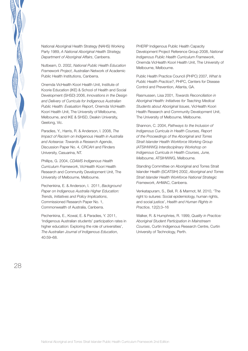

National Aboriginal Health Strategy (NAHS) Working Party 1989, *A National Aboriginal Health Strategy, Department of Aboriginal Affairs*, Canberra.

Nutbeam, D. 2002, *National Public Health Education Framework Project*, Australian Network of Academic Public Health Institutions, Canberra.

Onemda VicHealth Koori Health Unit, Institute of Koorie Education (IKE) & School of Health and Social Development (SHSD) 2006, *Innovations in the Design and Delivery of Curricula for Indigenous Australian Public Health: Evaluation Report*, Onemda VicHealth Koori Health Unit, The University of Melbourne, Melbourne, and IKE & SHSD, Deakin University, Geelong, Vic.

Paradies, Y., Harris, R. & Anderson, I. 2008, *The Impact of Racism on Indigenous Health in Australia and Aotearoa: Towards a Research Agenda*, Discussion Paper No. 4, CRCAH and Flinders University, Casuarina, NT.

Phillips, G. 2004, *CDAMS Indigenous Health Curriculum Framework*, VicHealth Koori Health Research and Community Development Unit, The University of Melbourne, Melbourne.

Pechenkina, E. & Anderson, I. 2011, *Background Paper on Indigenous Australia Higher Education: Trends, Initiatives and Policy Implications*, Commissioned Research Paper No. 1, Commonwealth of Australia, Canberra.

Pechenkina, E., Kowal, E. & Paradies, Y. 2011, 'Indigenous Australian students' participation rates in higher education: Exploring the role of universities', *The Australian Journal of Indigenous Education*, 40:59–68.

PHERP Indigenous Public Health Capacity Development Project Reference Group 2008, *National Indigenous Public Health Curriculum Framework*, Onemda VicHealth Koori Health Unit, The University of Melbourne, Melbourne.

Public Health Practice Council (PHPC) 2007, *What Is Public Health Practice?*, PHPC, Centers for Disease Control and Prevention, Atlanta, GA.

Rasmussen, Lisa 2001, *Towards Reconciliation in Aboriginal Health: Initiatives for Teaching Medical Students about Aboriginal Issues*, VicHealth Koori Health Research and Community Development Unit, The University of Melbourne, Melbourne.

Shannon, C. 2004, *Pathways to the Inclusion of Indigenous Curricula in Health Courses, Report of the Proceedings of the Aboriginal and Torres Strait Islander Health Workforce Working Group (ATSIHWWG) Interdisciplinary Workshop on Indigenous Curricula in Health Courses, June, Melbourne*, ATSIHWWG, Melbourne.

Standing Committee on Aboriginal and Torres Strait Islander Health (SCATSIH) 2002, *Aboriginal and Torres Strait Islander Health Workforce National Strategic Framework*, AHMAC, Canberra.

Venkatapuram, S., Bell, R. & Marmot, M. 2010, 'The right to sutures: Social epidemiology, human rights, and social justice', *Health and Human Rights in Practice*, 12(2):3–16

Walker, R. & Humphries, R. 1999, *Quality in Practice: Aboriginal Student Participation in Mainstream Courses*, Curtin Indigenous Research Centre, Curtin University of Technology, Perth.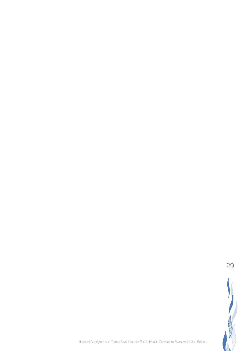



National Aboriginal and Torres Strait Islander Public Health Curriculum Framework 2nd Edition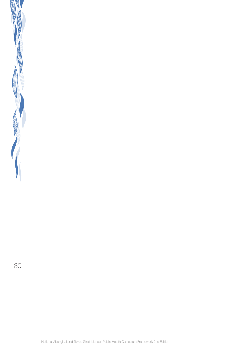